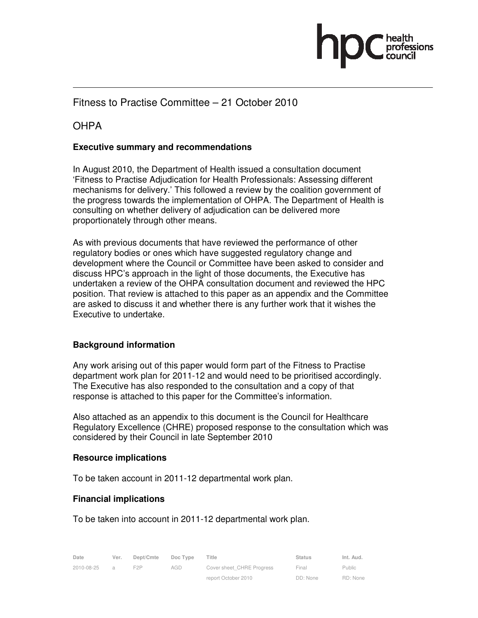

# Fitness to Practise Committee – 21 October 2010

# **OHPA**

#### **Executive summary and recommendations**

In August 2010, the Department of Health issued a consultation document 'Fitness to Practise Adjudication for Health Professionals: Assessing different mechanisms for delivery.' This followed a review by the coalition government of the progress towards the implementation of OHPA. The Department of Health is consulting on whether delivery of adjudication can be delivered more proportionately through other means.

As with previous documents that have reviewed the performance of other regulatory bodies or ones which have suggested regulatory change and development where the Council or Committee have been asked to consider and discuss HPC's approach in the light of those documents, the Executive has undertaken a review of the OHPA consultation document and reviewed the HPC position. That review is attached to this paper as an appendix and the Committee are asked to discuss it and whether there is any further work that it wishes the Executive to undertake.

#### **Background information**

Any work arising out of this paper would form part of the Fitness to Practise department work plan for 2011-12 and would need to be prioritised accordingly. The Executive has also responded to the consultation and a copy of that response is attached to this paper for the Committee's information.

Also attached as an appendix to this document is the Council for Healthcare Regulatory Excellence (CHRE) proposed response to the consultation which was considered by their Council in late September 2010

#### **Resource implications**

To be taken account in 2011-12 departmental work plan.

#### **Financial implications**

To be taken into account in 2011-12 departmental work plan.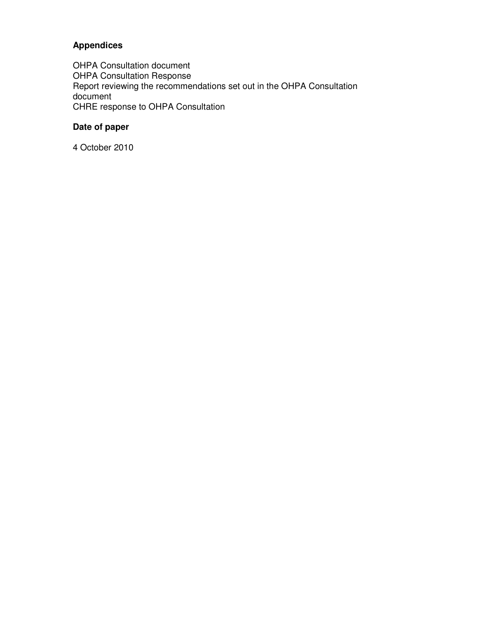## **Appendices**

OHPA Consultation document OHPA Consultation Response Report reviewing the recommendations set out in the OHPA Consultation document CHRE response to OHPA Consultation

# **Date of paper**

4 October 2010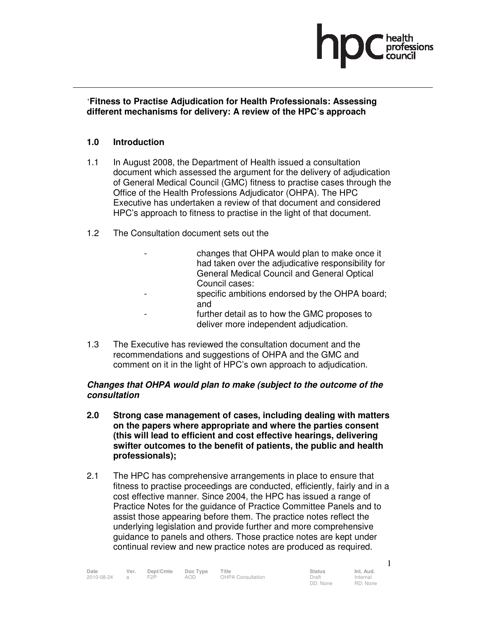

#### '**Fitness to Practise Adjudication for Health Professionals: Assessing different mechanisms for delivery: A review of the HPC's approach**

#### **1.0 Introduction**

- 1.1 In August 2008, the Department of Health issued a consultation document which assessed the argument for the delivery of adjudication of General Medical Council (GMC) fitness to practise cases through the Office of the Health Professions Adjudicator (OHPA). The HPC Executive has undertaken a review of that document and considered HPC's approach to fitness to practise in the light of that document.
- 1.2 The Consultation document sets out the
	- changes that OHPA would plan to make once it had taken over the adjudicative responsibility for General Medical Council and General Optical Council cases:
	- specific ambitions endorsed by the OHPA board; and
	- further detail as to how the GMC proposes to deliver more independent adjudication.
- 1.3 The Executive has reviewed the consultation document and the recommendations and suggestions of OHPA and the GMC and comment on it in the light of HPC's own approach to adjudication.

#### **Changes that OHPA would plan to make (subject to the outcome of the consultation**

- **2.0 Strong case management of cases, including dealing with matters on the papers where appropriate and where the parties consent (this will lead to efficient and cost effective hearings, delivering swifter outcomes to the benefit of patients, the public and health professionals);**
- 2.1 The HPC has comprehensive arrangements in place to ensure that fitness to practise proceedings are conducted, efficiently, fairly and in a cost effective manner. Since 2004, the HPC has issued a range of Practice Notes for the guidance of Practice Committee Panels and to assist those appearing before them. The practice notes reflect the underlying legislation and provide further and more comprehensive guidance to panels and others. Those practice notes are kept under continual review and new practice notes are produced as required.

| Date         | Ver. | Dept/Cmte        | Doc Type | Title             | <b>Status</b> | Int. Aud. |
|--------------|------|------------------|----------|-------------------|---------------|-----------|
| 2010-08-24 a |      | F <sub>2</sub> P | AOD      | OHPA Consultation | Draft         | Internal  |

1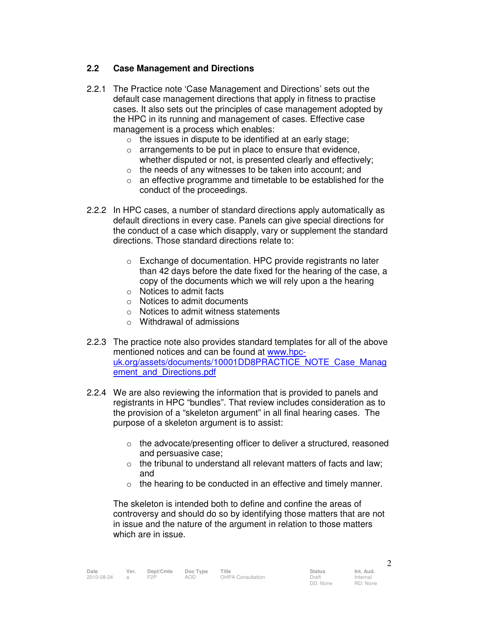#### **2.2 Case Management and Directions**

- 2.2.1 The Practice note 'Case Management and Directions' sets out the default case management directions that apply in fitness to practise cases. It also sets out the principles of case management adopted by the HPC in its running and management of cases. Effective case management is a process which enables:
	- $\circ$  the issues in dispute to be identified at an early stage;
	- o arrangements to be put in place to ensure that evidence, whether disputed or not, is presented clearly and effectively;
	- o the needs of any witnesses to be taken into account; and
	- o an effective programme and timetable to be established for the conduct of the proceedings.
- 2.2.2 In HPC cases, a number of standard directions apply automatically as default directions in every case. Panels can give special directions for the conduct of a case which disapply, vary or supplement the standard directions. Those standard directions relate to:
	- o Exchange of documentation. HPC provide registrants no later than 42 days before the date fixed for the hearing of the case, a copy of the documents which we will rely upon a the hearing
	- o Notices to admit facts
	- o Notices to admit documents
	- o Notices to admit witness statements
	- o Withdrawal of admissions
- 2.2.3 The practice note also provides standard templates for all of the above mentioned notices and can be found at www.hpcuk.org/assets/documents/10001DD8PRACTICE\_NOTE\_Case\_Manag ement and Directions.pdf
- 2.2.4 We are also reviewing the information that is provided to panels and registrants in HPC "bundles". That review includes consideration as to the provision of a "skeleton argument" in all final hearing cases. The purpose of a skeleton argument is to assist:
	- o the advocate/presenting officer to deliver a structured, reasoned and persuasive case;
	- $\circ$  the tribunal to understand all relevant matters of facts and law; and
	- $\circ$  the hearing to be conducted in an effective and timely manner.

The skeleton is intended both to define and confine the areas of controversy and should do so by identifying those matters that are not in issue and the nature of the argument in relation to those matters which are in issue.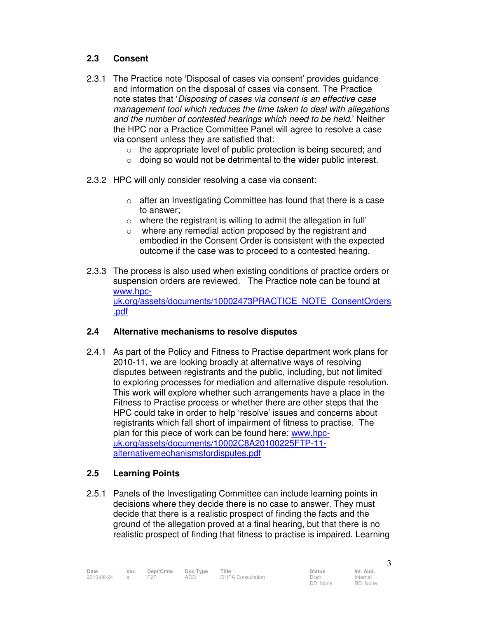#### **2.3 Consent**

- 2.3.1 The Practice note 'Disposal of cases via consent' provides guidance and information on the disposal of cases via consent. The Practice note states that 'Disposing of cases via consent is an effective case management tool which reduces the time taken to deal with allegations and the number of contested hearings which need to be held.' Neither the HPC nor a Practice Committee Panel will agree to resolve a case via consent unless they are satisfied that:
	- $\circ$  the appropriate level of public protection is being secured; and
	- o doing so would not be detrimental to the wider public interest.
- 2.3.2 HPC will only consider resolving a case via consent:
	- o after an Investigating Committee has found that there is a case to answer;
	- $\circ$  where the registrant is willing to admit the allegation in full'
	- where any remedial action proposed by the registrant and embodied in the Consent Order is consistent with the expected outcome if the case was to proceed to a contested hearing.
- 2.3.3 The process is also used when existing conditions of practice orders or suspension orders are reviewed. The Practice note can be found at www.hpcuk.org/assets/documents/10002473PRACTICE\_NOTE\_ConsentOrders .pdf

#### **2.4 Alternative mechanisms to resolve disputes**

2.4.1 As part of the Policy and Fitness to Practise department work plans for 2010-11, we are looking broadly at alternative ways of resolving disputes between registrants and the public, including, but not limited to exploring processes for mediation and alternative dispute resolution. This work will explore whether such arrangements have a place in the Fitness to Practise process or whether there are other steps that the HPC could take in order to help 'resolve' issues and concerns about registrants which fall short of impairment of fitness to practise. The plan for this piece of work can be found here: www.hpcuk.org/assets/documents/10002C8A20100225FTP-11 alternativemechanismsfordisputes.pdf

#### **2.5 Learning Points**

2.5.1 Panels of the Investigating Committee can include learning points in decisions where they decide there is no case to answer. They must decide that there is a realistic prospect of finding the facts and the ground of the allegation proved at a final hearing, but that there is no realistic prospect of finding that fitness to practise is impaired. Learning

Internal RD: None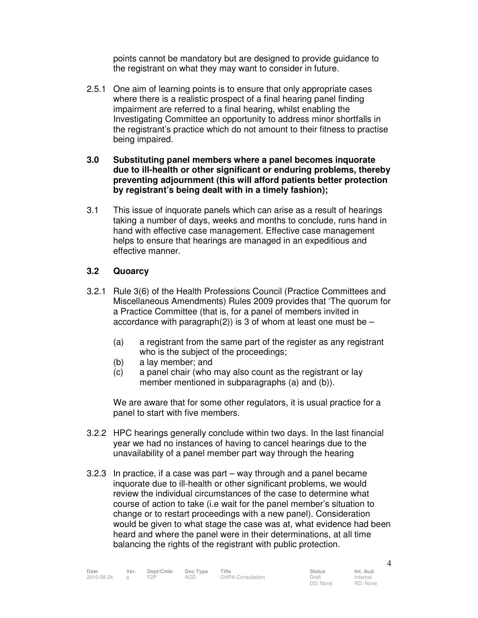points cannot be mandatory but are designed to provide guidance to the registrant on what they may want to consider in future.

- 2.5.1 One aim of learning points is to ensure that only appropriate cases where there is a realistic prospect of a final hearing panel finding impairment are referred to a final hearing, whilst enabling the Investigating Committee an opportunity to address minor shortfalls in the registrant's practice which do not amount to their fitness to practise being impaired.
- **3.0 Substituting panel members where a panel becomes inquorate due to ill-health or other significant or enduring problems, thereby preventing adjournment (this will afford patients better protection by registrant's being dealt with in a timely fashion);**
- 3.1 This issue of inquorate panels which can arise as a result of hearings taking a number of days, weeks and months to conclude, runs hand in hand with effective case management. Effective case management helps to ensure that hearings are managed in an expeditious and effective manner.

#### **3.2 Quoarcy**

- 3.2.1 Rule 3(6) of the Health Professions Council (Practice Committees and Miscellaneous Amendments) Rules 2009 provides that 'The quorum for a Practice Committee (that is, for a panel of members invited in accordance with paragraph(2)) is 3 of whom at least one must be  $-$ 
	- (a) a registrant from the same part of the register as any registrant who is the subject of the proceedings;
	- (b) a lay member; and
	- (c) a panel chair (who may also count as the registrant or lay member mentioned in subparagraphs (a) and (b)).

We are aware that for some other regulators, it is usual practice for a panel to start with five members.

- 3.2.2 HPC hearings generally conclude within two days. In the last financial year we had no instances of having to cancel hearings due to the unavailability of a panel member part way through the hearing
- 3.2.3 In practice, if a case was part way through and a panel became inquorate due to ill-health or other significant problems, we would review the individual circumstances of the case to determine what course of action to take (i.e wait for the panel member's situation to change or to restart proceedings with a new panel). Consideration would be given to what stage the case was at, what evidence had been heard and where the panel were in their determinations, at all time balancing the rights of the registrant with public protection.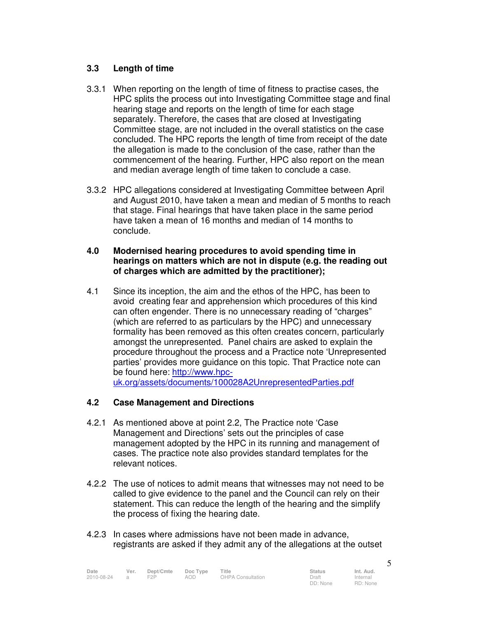#### **3.3 Length of time**

- 3.3.1 When reporting on the length of time of fitness to practise cases, the HPC splits the process out into Investigating Committee stage and final hearing stage and reports on the length of time for each stage separately. Therefore, the cases that are closed at Investigating Committee stage, are not included in the overall statistics on the case concluded. The HPC reports the length of time from receipt of the date the allegation is made to the conclusion of the case, rather than the commencement of the hearing. Further, HPC also report on the mean and median average length of time taken to conclude a case.
- 3.3.2 HPC allegations considered at Investigating Committee between April and August 2010, have taken a mean and median of 5 months to reach that stage. Final hearings that have taken place in the same period have taken a mean of 16 months and median of 14 months to conclude.

#### **4.0 Modernised hearing procedures to avoid spending time in hearings on matters which are not in dispute (e.g. the reading out of charges which are admitted by the practitioner);**

4.1 Since its inception, the aim and the ethos of the HPC, has been to avoid creating fear and apprehension which procedures of this kind can often engender. There is no unnecessary reading of "charges" (which are referred to as particulars by the HPC) and unnecessary formality has been removed as this often creates concern, particularly amongst the unrepresented. Panel chairs are asked to explain the procedure throughout the process and a Practice note 'Unrepresented parties' provides more guidance on this topic. That Practice note can be found here: http://www.hpcuk.org/assets/documents/100028A2UnrepresentedParties.pdf

#### **4.2 Case Management and Directions**

- 4.2.1 As mentioned above at point 2.2, The Practice note 'Case Management and Directions' sets out the principles of case management adopted by the HPC in its running and management of cases. The practice note also provides standard templates for the relevant notices.
- 4.2.2 The use of notices to admit means that witnesses may not need to be called to give evidence to the panel and the Council can rely on their statement. This can reduce the length of the hearing and the simplify the process of fixing the hearing date.
- 4.2.3 In cases where admissions have not been made in advance, registrants are asked if they admit any of the allegations at the outset

| Date       | Ver.           | Dept/Cmte | Doc Type | Title                    | <b>Status</b>     | Int. Aud. |
|------------|----------------|-----------|----------|--------------------------|-------------------|-----------|
| 2010-08-24 | $\overline{a}$ | F2P       | AOD.     | <b>OHPA Consultation</b> | Draft             | Internal  |
|            |                |           |          |                          | $DD: \text{None}$ | RD: None  |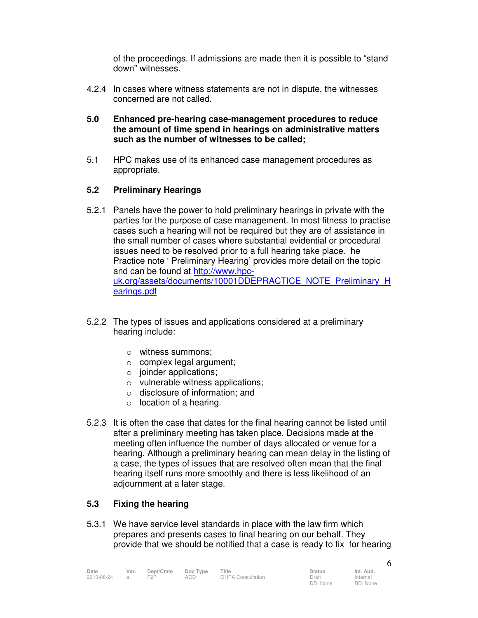of the proceedings. If admissions are made then it is possible to "stand down" witnesses.

- 4.2.4 In cases where witness statements are not in dispute, the witnesses concerned are not called.
- **5.0 Enhanced pre-hearing case-management procedures to reduce the amount of time spend in hearings on administrative matters such as the number of witnesses to be called;**
- 5.1 HPC makes use of its enhanced case management procedures as appropriate.

#### **5.2 Preliminary Hearings**

- 5.2.1 Panels have the power to hold preliminary hearings in private with the parties for the purpose of case management. In most fitness to practise cases such a hearing will not be required but they are of assistance in the small number of cases where substantial evidential or procedural issues need to be resolved prior to a full hearing take place. he Practice note ' Preliminary Hearing' provides more detail on the topic and can be found at http://www.hpcuk.org/assets/documents/10001DDEPRACTICE\_NOTE\_Preliminary\_H earings.pdf
- 5.2.2 The types of issues and applications considered at a preliminary hearing include:
	- o witness summons;
	- o complex legal argument;
	- $\circ$  joinder applications;
	- o vulnerable witness applications;
	- o disclosure of information; and
	- $\circ$  location of a hearing.
- 5.2.3 It is often the case that dates for the final hearing cannot be listed until after a preliminary meeting has taken place. Decisions made at the meeting often influence the number of days allocated or venue for a hearing. Although a preliminary hearing can mean delay in the listing of a case, the types of issues that are resolved often mean that the final hearing itself runs more smoothly and there is less likelihood of an adjournment at a later stage.

#### **5.3 Fixing the hearing**

5.3.1 We have service level standards in place with the law firm which prepares and presents cases to final hearing on our behalf. They provide that we should be notified that a case is ready to fix for hearing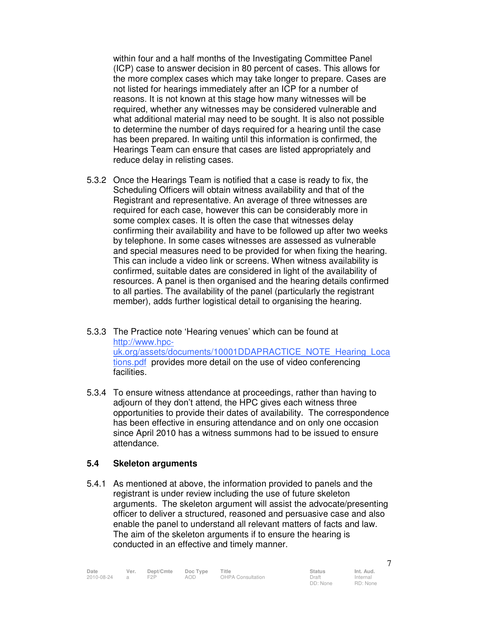within four and a half months of the Investigating Committee Panel (ICP) case to answer decision in 80 percent of cases. This allows for the more complex cases which may take longer to prepare. Cases are not listed for hearings immediately after an ICP for a number of reasons. It is not known at this stage how many witnesses will be required, whether any witnesses may be considered vulnerable and what additional material may need to be sought. It is also not possible to determine the number of days required for a hearing until the case has been prepared. In waiting until this information is confirmed, the Hearings Team can ensure that cases are listed appropriately and reduce delay in relisting cases.

- 5.3.2 Once the Hearings Team is notified that a case is ready to fix, the Scheduling Officers will obtain witness availability and that of the Registrant and representative. An average of three witnesses are required for each case, however this can be considerably more in some complex cases. It is often the case that witnesses delay confirming their availability and have to be followed up after two weeks by telephone. In some cases witnesses are assessed as vulnerable and special measures need to be provided for when fixing the hearing. This can include a video link or screens. When witness availability is confirmed, suitable dates are considered in light of the availability of resources. A panel is then organised and the hearing details confirmed to all parties. The availability of the panel (particularly the registrant member), adds further logistical detail to organising the hearing.
- 5.3.3 The Practice note 'Hearing venues' which can be found at http://www.hpcuk.org/assets/documents/10001DDAPRACTICE\_NOTE\_Hearing\_Loca tions.pdf provides more detail on the use of video conferencing facilities.
- 5.3.4 To ensure witness attendance at proceedings, rather than having to adjourn of they don't attend, the HPC gives each witness three opportunities to provide their dates of availability. The correspondence has been effective in ensuring attendance and on only one occasion since April 2010 has a witness summons had to be issued to ensure attendance.

#### **5.4 Skeleton arguments**

5.4.1 As mentioned at above, the information provided to panels and the registrant is under review including the use of future skeleton arguments. The skeleton argument will assist the advocate/presenting officer to deliver a structured, reasoned and persuasive case and also enable the panel to understand all relevant matters of facts and law. The aim of the skeleton arguments if to ensure the hearing is conducted in an effective and timely manner.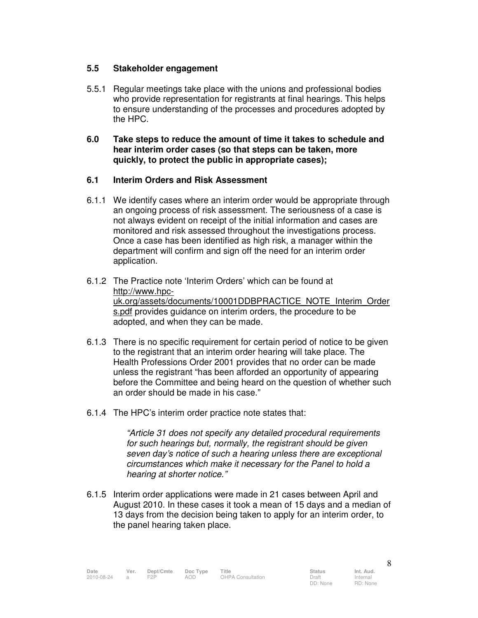#### **5.5 Stakeholder engagement**

- 5.5.1 Regular meetings take place with the unions and professional bodies who provide representation for registrants at final hearings. This helps to ensure understanding of the processes and procedures adopted by the HPC.
- **6.0 Take steps to reduce the amount of time it takes to schedule and hear interim order cases (so that steps can be taken, more quickly, to protect the public in appropriate cases);**

#### **6.1 Interim Orders and Risk Assessment**

- 6.1.1 We identify cases where an interim order would be appropriate through an ongoing process of risk assessment. The seriousness of a case is not always evident on receipt of the initial information and cases are monitored and risk assessed throughout the investigations process. Once a case has been identified as high risk, a manager within the department will confirm and sign off the need for an interim order application.
- 6.1.2 The Practice note 'Interim Orders' which can be found at http://www.hpcuk.org/assets/documents/10001DDBPRACTICE\_NOTE\_Interim\_Order s.pdf provides guidance on interim orders, the procedure to be adopted, and when they can be made.
- 6.1.3 There is no specific requirement for certain period of notice to be given to the registrant that an interim order hearing will take place. The Health Professions Order 2001 provides that no order can be made unless the registrant "has been afforded an opportunity of appearing before the Committee and being heard on the question of whether such an order should be made in his case."
- 6.1.4 The HPC's interim order practice note states that:

"Article 31 does not specify any detailed procedural requirements for such hearings but, normally, the registrant should be given seven day's notice of such a hearing unless there are exceptional circumstances which make it necessary for the Panel to hold a hearing at shorter notice."

6.1.5 Interim order applications were made in 21 cases between April and August 2010. In these cases it took a mean of 15 days and a median of 13 days from the decision being taken to apply for an interim order, to the panel hearing taken place.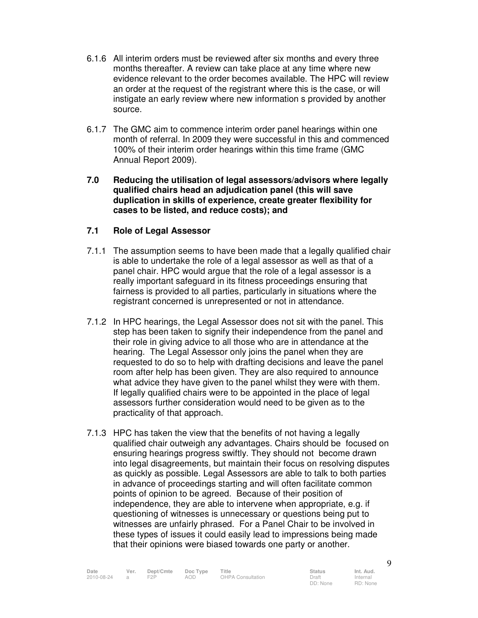- 6.1.6 All interim orders must be reviewed after six months and every three months thereafter. A review can take place at any time where new evidence relevant to the order becomes available. The HPC will review an order at the request of the registrant where this is the case, or will instigate an early review where new information s provided by another source.
- 6.1.7 The GMC aim to commence interim order panel hearings within one month of referral. In 2009 they were successful in this and commenced 100% of their interim order hearings within this time frame (GMC Annual Report 2009).
- **7.0 Reducing the utilisation of legal assessors/advisors where legally qualified chairs head an adjudication panel (this will save duplication in skills of experience, create greater flexibility for cases to be listed, and reduce costs); and**

#### **7.1 Role of Legal Assessor**

- 7.1.1 The assumption seems to have been made that a legally qualified chair is able to undertake the role of a legal assessor as well as that of a panel chair. HPC would argue that the role of a legal assessor is a really important safeguard in its fitness proceedings ensuring that fairness is provided to all parties, particularly in situations where the registrant concerned is unrepresented or not in attendance.
- 7.1.2 In HPC hearings, the Legal Assessor does not sit with the panel. This step has been taken to signify their independence from the panel and their role in giving advice to all those who are in attendance at the hearing. The Legal Assessor only joins the panel when they are requested to do so to help with drafting decisions and leave the panel room after help has been given. They are also required to announce what advice they have given to the panel whilst they were with them. If legally qualified chairs were to be appointed in the place of legal assessors further consideration would need to be given as to the practicality of that approach.
- 7.1.3 HPC has taken the view that the benefits of not having a legally qualified chair outweigh any advantages. Chairs should be focused on ensuring hearings progress swiftly. They should not become drawn into legal disagreements, but maintain their focus on resolving disputes as quickly as possible. Legal Assessors are able to talk to both parties in advance of proceedings starting and will often facilitate common points of opinion to be agreed. Because of their position of independence, they are able to intervene when appropriate, e.g. if questioning of witnesses is unnecessary or questions being put to witnesses are unfairly phrased. For a Panel Chair to be involved in these types of issues it could easily lead to impressions being made that their opinions were biased towards one party or another.

Internal RD: None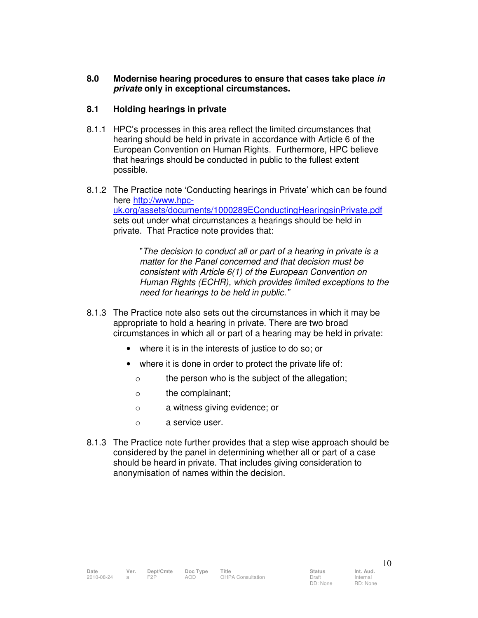#### **8.0 Modernise hearing procedures to ensure that cases take place in private only in exceptional circumstances.**

#### **8.1 Holding hearings in private**

- 8.1.1 HPC's processes in this area reflect the limited circumstances that hearing should be held in private in accordance with Article 6 of the European Convention on Human Rights. Furthermore, HPC believe that hearings should be conducted in public to the fullest extent possible.
- 8.1.2 The Practice note 'Conducting hearings in Private' which can be found here http://www.hpcuk.org/assets/documents/1000289EConductingHearingsinPrivate.pdf sets out under what circumstances a hearings should be held in private. That Practice note provides that:

"The decision to conduct all or part of a hearing in private is a matter for the Panel concerned and that decision must be consistent with Article 6(1) of the European Convention on Human Rights (ECHR), which provides limited exceptions to the need for hearings to be held in public."

- 8.1.3 The Practice note also sets out the circumstances in which it may be appropriate to hold a hearing in private. There are two broad circumstances in which all or part of a hearing may be held in private:
	- where it is in the interests of justice to do so; or
	- where it is done in order to protect the private life of:
		- o the person who is the subject of the allegation;
		- o the complainant;
		- o a witness giving evidence; or
		- o a service user.
- 8.1.3 The Practice note further provides that a step wise approach should be considered by the panel in determining whether all or part of a case should be heard in private. That includes giving consideration to anonymisation of names within the decision.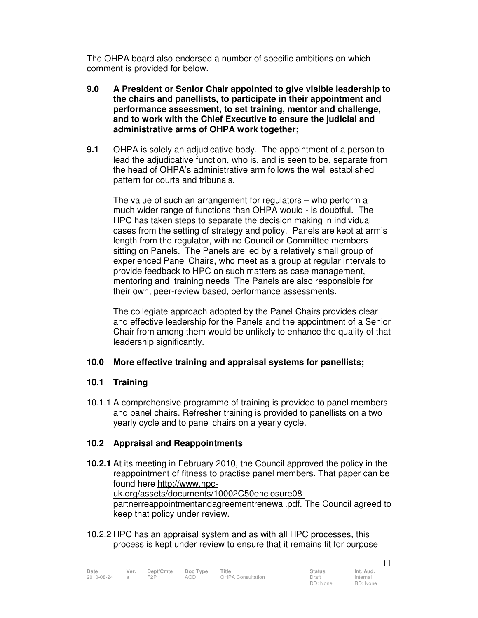The OHPA board also endorsed a number of specific ambitions on which comment is provided for below.

- **9.0 A President or Senior Chair appointed to give visible leadership to the chairs and panellists, to participate in their appointment and performance assessment, to set training, mentor and challenge, and to work with the Chief Executive to ensure the judicial and administrative arms of OHPA work together;**
- **9.1** OHPA is solely an adjudicative body. The appointment of a person to lead the adjudicative function, who is, and is seen to be, separate from the head of OHPA's administrative arm follows the well established pattern for courts and tribunals.

The value of such an arrangement for regulators – who perform a much wider range of functions than OHPA would - is doubtful. The HPC has taken steps to separate the decision making in individual cases from the setting of strategy and policy. Panels are kept at arm's length from the regulator, with no Council or Committee members sitting on Panels. The Panels are led by a relatively small group of experienced Panel Chairs, who meet as a group at regular intervals to provide feedback to HPC on such matters as case management, mentoring and training needs The Panels are also responsible for their own, peer-review based, performance assessments.

The collegiate approach adopted by the Panel Chairs provides clear and effective leadership for the Panels and the appointment of a Senior Chair from among them would be unlikely to enhance the quality of that leadership significantly.

#### **10.0 More effective training and appraisal systems for panellists;**

#### **10.1 Training**

10.1.1 A comprehensive programme of training is provided to panel members and panel chairs. Refresher training is provided to panellists on a two yearly cycle and to panel chairs on a yearly cycle.

#### **10.2 Appraisal and Reappointments**

- **10.2.1** At its meeting in February 2010, the Council approved the policy in the reappointment of fitness to practise panel members. That paper can be found here http://www.hpcuk.org/assets/documents/10002C50enclosure08 partnerreappointmentandagreementrenewal.pdf. The Council agreed to keep that policy under review.
- 10.2.2 HPC has an appraisal system and as with all HPC processes, this process is kept under review to ensure that it remains fit for purpose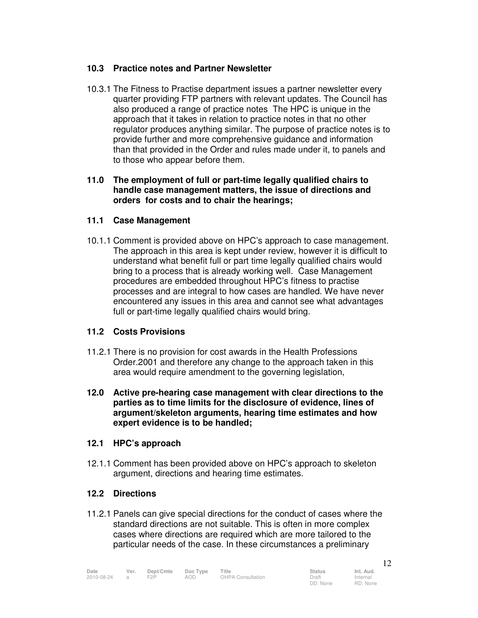#### **10.3 Practice notes and Partner Newsletter**

10.3.1 The Fitness to Practise department issues a partner newsletter every quarter providing FTP partners with relevant updates. The Council has also produced a range of practice notes The HPC is unique in the approach that it takes in relation to practice notes in that no other regulator produces anything similar. The purpose of practice notes is to provide further and more comprehensive guidance and information than that provided in the Order and rules made under it, to panels and to those who appear before them.

#### **11.0 The employment of full or part-time legally qualified chairs to handle case management matters, the issue of directions and orders for costs and to chair the hearings;**

#### **11.1 Case Management**

10.1.1 Comment is provided above on HPC's approach to case management. The approach in this area is kept under review, however it is difficult to understand what benefit full or part time legally qualified chairs would bring to a process that is already working well. Case Management procedures are embedded throughout HPC's fitness to practise processes and are integral to how cases are handled. We have never encountered any issues in this area and cannot see what advantages full or part-time legally qualified chairs would bring.

#### **11.2 Costs Provisions**

- 11.2.1 There is no provision for cost awards in the Health Professions Order.2001 and therefore any change to the approach taken in this area would require amendment to the governing legislation,
- **12.0 Active pre-hearing case management with clear directions to the parties as to time limits for the disclosure of evidence, lines of argument/skeleton arguments, hearing time estimates and how expert evidence is to be handled;**

#### **12.1 HPC's approach**

12.1.1 Comment has been provided above on HPC's approach to skeleton argument, directions and hearing time estimates.

#### **12.2 Directions**

11.2.1 Panels can give special directions for the conduct of cases where the standard directions are not suitable. This is often in more complex cases where directions are required which are more tailored to the particular needs of the case. In these circumstances a preliminary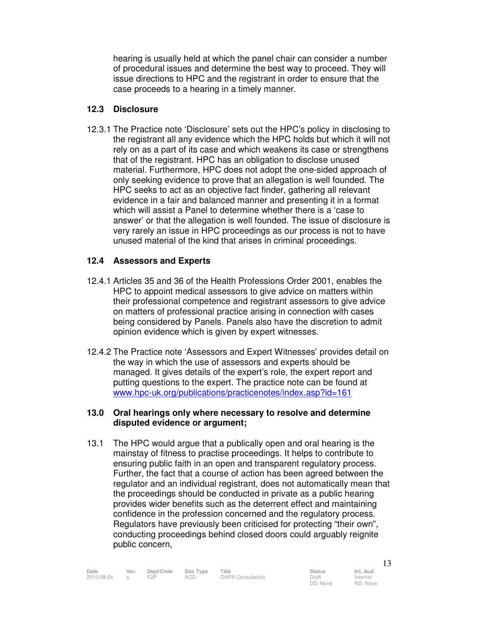hearing is usually held at which the panel chair can consider a number of procedural issues and determine the best way to proceed. They will issue directions to HPC and the registrant in order to ensure that the case proceeds to a hearing in a timely manner.

#### **12.3 Disclosure**

12.3.1 The Practice note 'Disclosure' sets out the HPC's policy in disclosing to the registrant all any evidence which the HPC holds but which it will not rely on as a part of its case and which weakens its case or strengthens that of the registrant. HPC has an obligation to disclose unused material. Furthermore, HPC does not adopt the one-sided approach of only seeking evidence to prove that an allegation is well founded. The HPC seeks to act as an objective fact finder, gathering all relevant evidence in a fair and balanced manner and presenting it in a format which will assist a Panel to determine whether there is a 'case to answer' or that the allegation is well founded. The issue of disclosure is very rarely an issue in HPC proceedings as our process is not to have unused material of the kind that arises in criminal proceedings.

#### **12.4 Assessors and Experts**

- 12.4.1 Articles 35 and 36 of the Health Professions Order 2001, enables the HPC to appoint medical assessors to give advice on matters within their professional competence and registrant assessors to give advice on matters of professional practice arising in connection with cases being considered by Panels. Panels also have the discretion to admit opinion evidence which is given by expert witnesses.
- 12.4.2 The Practice note 'Assessors and Expert Witnesses' provides detail on the way in which the use of assessors and experts should be managed. It gives details of the expert's role, the expert report and putting questions to the expert. The practice note can be found at www.hpc-uk.org/publications/practicenotes/index.asp?id=161

#### **13.0 Oral hearings only where necessary to resolve and determine disputed evidence or argument;**

13.1 The HPC would argue that a publically open and oral hearing is the mainstay of fitness to practise proceedings. It helps to contribute to ensuring public faith in an open and transparent regulatory process. Further, the fact that a course of action has been agreed between the regulator and an individual registrant, does not automatically mean that the proceedings should be conducted in private as a public hearing provides wider benefits such as the deterrent effect and maintaining confidence in the profession concerned and the regulatory process. Regulators have previously been criticised for protecting "their own", conducting proceedings behind closed doors could arguably reignite public concern,

RD: None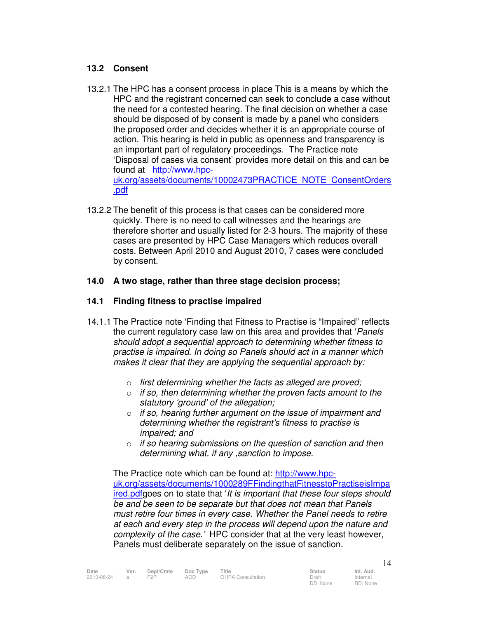#### **13.2 Consent**

- 13.2.1 The HPC has a consent process in place This is a means by which the HPC and the registrant concerned can seek to conclude a case without the need for a contested hearing. The final decision on whether a case should be disposed of by consent is made by a panel who considers the proposed order and decides whether it is an appropriate course of action. This hearing is held in public as openness and transparency is an important part of regulatory proceedings. The Practice note 'Disposal of cases via consent' provides more detail on this and can be found at http://www.hpcuk.org/assets/documents/10002473PRACTICE\_NOTE\_ConsentOrders .pdf
- 13.2.2 The benefit of this process is that cases can be considered more quickly. There is no need to call witnesses and the hearings are therefore shorter and usually listed for 2-3 hours. The majority of these cases are presented by HPC Case Managers which reduces overall costs. Between April 2010 and August 2010, 7 cases were concluded by consent.

#### **14.0 A two stage, rather than three stage decision process;**

#### **14.1 Finding fitness to practise impaired**

- 14.1.1 The Practice note 'Finding that Fitness to Practise is "Impaired" reflects the current regulatory case law on this area and provides that 'Panels should adopt a sequential approach to determining whether fitness to practise is impaired. In doing so Panels should act in a manner which makes it clear that they are applying the sequential approach by:
	- o first determining whether the facts as alleged are proved;
	- $\circ$  if so, then determining whether the proven facts amount to the statutory 'ground' of the allegation;
	- $\circ$  if so, hearing further argument on the issue of impairment and determining whether the registrant's fitness to practise is impaired; and
	- $\circ$  if so hearing submissions on the question of sanction and then determining what, if any ,sanction to impose.

The Practice note which can be found at: http://www.hpcuk.org/assets/documents/1000289FFindingthatFitnesstoPractiseisImpa ired.pdfgoes on to state that 'It is important that these four steps should be and be seen to be separate but that does not mean that Panels must retire four times in every case. Whether the Panel needs to retire at each and every step in the process will depend upon the nature and complexity of the case.' HPC consider that at the very least however, Panels must deliberate separately on the issue of sanction.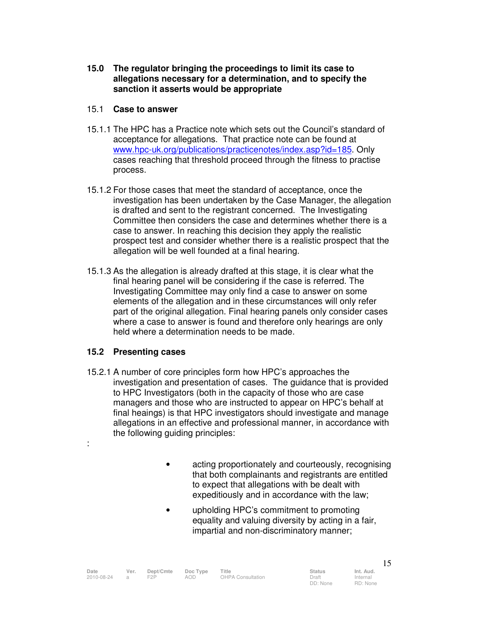**15.0 The regulator bringing the proceedings to limit its case to allegations necessary for a determination, and to specify the sanction it asserts would be appropriate** 

#### 15.1 **Case to answer**

- 15.1.1 The HPC has a Practice note which sets out the Council's standard of acceptance for allegations. That practice note can be found at www.hpc-uk.org/publications/practicenotes/index.asp?id=185. Only cases reaching that threshold proceed through the fitness to practise process.
- 15.1.2 For those cases that meet the standard of acceptance, once the investigation has been undertaken by the Case Manager, the allegation is drafted and sent to the registrant concerned. The Investigating Committee then considers the case and determines whether there is a case to answer. In reaching this decision they apply the realistic prospect test and consider whether there is a realistic prospect that the allegation will be well founded at a final hearing.
- 15.1.3 As the allegation is already drafted at this stage, it is clear what the final hearing panel will be considering if the case is referred. The Investigating Committee may only find a case to answer on some elements of the allegation and in these circumstances will only refer part of the original allegation. Final hearing panels only consider cases where a case to answer is found and therefore only hearings are only held where a determination needs to be made.

#### **15.2 Presenting cases**

:

- 15.2.1 A number of core principles form how HPC's approaches the investigation and presentation of cases. The guidance that is provided to HPC Investigators (both in the capacity of those who are case managers and those who are instructed to appear on HPC's behalf at final heaings) is that HPC investigators should investigate and manage allegations in an effective and professional manner, in accordance with the following guiding principles:
	- acting proportionately and courteously, recognising that both complainants and registrants are entitled to expect that allegations with be dealt with expeditiously and in accordance with the law;
	- upholding HPC's commitment to promoting equality and valuing diversity by acting in a fair, impartial and non-discriminatory manner;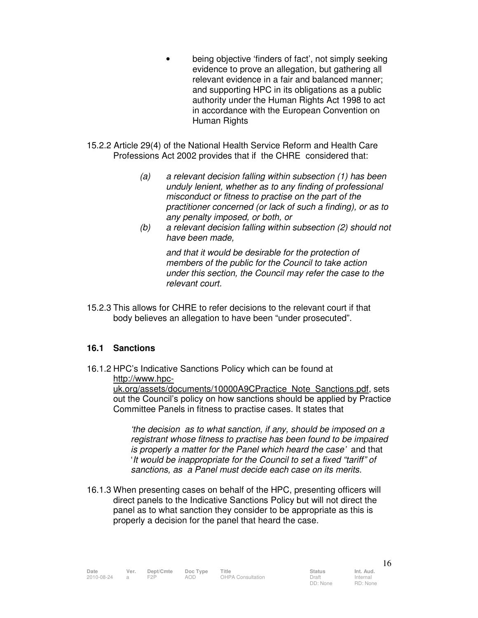- being objective 'finders of fact', not simply seeking evidence to prove an allegation, but gathering all relevant evidence in a fair and balanced manner; and supporting HPC in its obligations as a public authority under the Human Rights Act 1998 to act in accordance with the European Convention on Human Rights
- 15.2.2 Article 29(4) of the National Health Service Reform and Health Care Professions Act 2002 provides that if the CHRE considered that:
	- (a) a relevant decision falling within subsection (1) has been unduly lenient, whether as to any finding of professional misconduct or fitness to practise on the part of the practitioner concerned (or lack of such a finding), or as to any penalty imposed, or both, or
	- (b) a relevant decision falling within subsection (2) should not have been made,

and that it would be desirable for the protection of members of the public for the Council to take action under this section, the Council may refer the case to the relevant court.

15.2.3 This allows for CHRE to refer decisions to the relevant court if that body believes an allegation to have been "under prosecuted".

#### **16.1 Sanctions**

16.1.2 HPC's Indicative Sanctions Policy which can be found at http://www.hpc-

uk.org/assets/documents/10000A9CPractice\_Note\_Sanctions.pdf, sets out the Council's policy on how sanctions should be applied by Practice Committee Panels in fitness to practise cases. It states that

'the decision as to what sanction, if any, should be imposed on a registrant whose fitness to practise has been found to be impaired is properly a matter for the Panel which heard the case' and that 'It would be inappropriate for the Council to set a fixed "tariff" of sanctions, as a Panel must decide each case on its merits.

16.1.3 When presenting cases on behalf of the HPC, presenting officers will direct panels to the Indicative Sanctions Policy but will not direct the panel as to what sanction they consider to be appropriate as this is properly a decision for the panel that heard the case.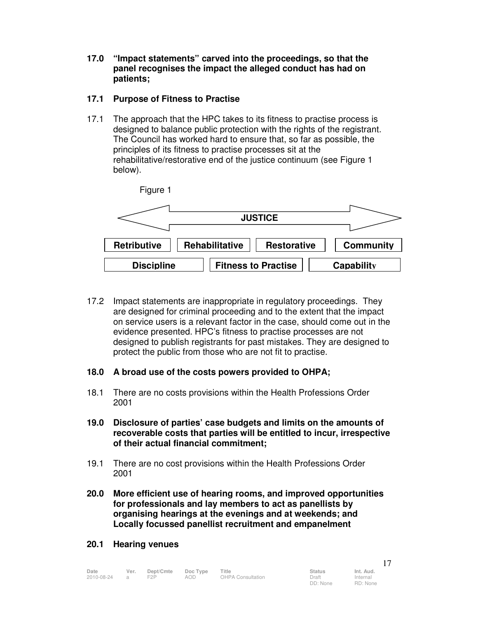**17.0 "Impact statements" carved into the proceedings, so that the panel recognises the impact the alleged conduct has had on patients;** 

#### **17.1 Purpose of Fitness to Practise**

17.1 The approach that the HPC takes to its fitness to practise process is designed to balance public protection with the rights of the registrant. The Council has worked hard to ensure that, so far as possible, the principles of its fitness to practise processes sit at the rehabilitative/restorative end of the justice continuum (see Figure 1 below).



- 17.2 Impact statements are inappropriate in regulatory proceedings. They are designed for criminal proceeding and to the extent that the impact on service users is a relevant factor in the case, should come out in the evidence presented. HPC's fitness to practise processes are not designed to publish registrants for past mistakes. They are designed to protect the public from those who are not fit to practise.
- **18.0 A broad use of the costs powers provided to OHPA;**
- 18.1 There are no costs provisions within the Health Professions Order 2001
- **19.0 Disclosure of parties' case budgets and limits on the amounts of recoverable costs that parties will be entitled to incur, irrespective of their actual financial commitment;**
- 19.1 There are no cost provisions within the Health Professions Order 2001
- **20.0 More efficient use of hearing rooms, and improved opportunities for professionals and lay members to act as panellists by organising hearings at the evenings and at weekends; and Locally focussed panellist recruitment and empanelment**

#### **20.1 Hearing venues**

| Date         | Ver. | Dept/Cmte | Doc Type | Title             | <b>Status</b> | Int. Aud. |
|--------------|------|-----------|----------|-------------------|---------------|-----------|
| 2010-08-24 a |      | F2P       | AOD      | OHPA Consultation | Draft         | Internal  |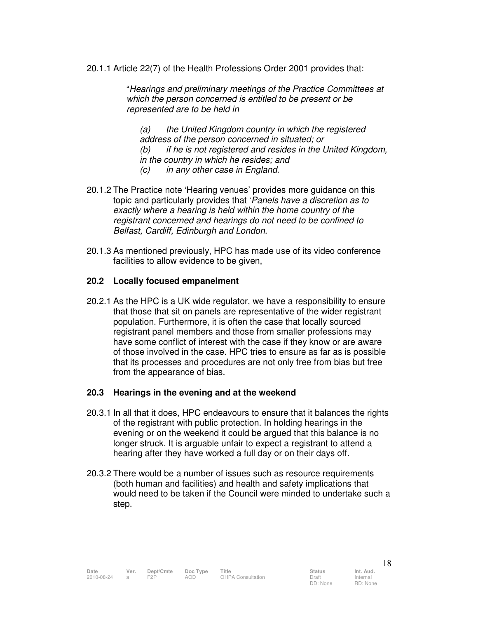20.1.1 Article 22(7) of the Health Professions Order 2001 provides that:

"Hearings and preliminary meetings of the Practice Committees at which the person concerned is entitled to be present or be represented are to be held in

(a) the United Kingdom country in which the registered address of the person concerned in situated; or (b) if he is not registered and resides in the United Kingdom, in the country in which he resides; and (c) in any other case in England.

- 20.1.2 The Practice note 'Hearing venues' provides more guidance on this topic and particularly provides that 'Panels have a discretion as to exactly where a hearing is held within the home country of the registrant concerned and hearings do not need to be confined to Belfast, Cardiff, Edinburgh and London.
- 20.1.3 As mentioned previously, HPC has made use of its video conference facilities to allow evidence to be given,

#### **20.2 Locally focused empanelment**

20.2.1 As the HPC is a UK wide regulator, we have a responsibility to ensure that those that sit on panels are representative of the wider registrant population. Furthermore, it is often the case that locally sourced registrant panel members and those from smaller professions may have some conflict of interest with the case if they know or are aware of those involved in the case. HPC tries to ensure as far as is possible that its processes and procedures are not only free from bias but free from the appearance of bias.

#### **20.3 Hearings in the evening and at the weekend**

- 20.3.1 In all that it does, HPC endeavours to ensure that it balances the rights of the registrant with public protection. In holding hearings in the evening or on the weekend it could be argued that this balance is no longer struck. It is arguable unfair to expect a registrant to attend a hearing after they have worked a full day or on their days off.
- 20.3.2 There would be a number of issues such as resource requirements (both human and facilities) and health and safety implications that would need to be taken if the Council were minded to undertake such a step.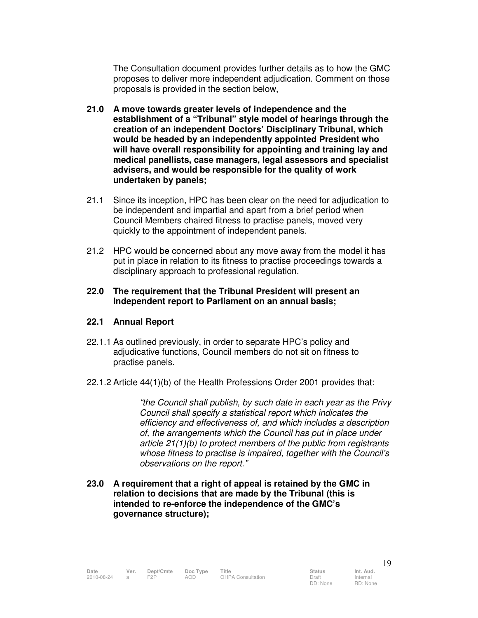The Consultation document provides further details as to how the GMC proposes to deliver more independent adjudication. Comment on those proposals is provided in the section below,

- **21.0 A move towards greater levels of independence and the establishment of a "Tribunal" style model of hearings through the creation of an independent Doctors' Disciplinary Tribunal, which would be headed by an independently appointed President who will have overall responsibility for appointing and training lay and medical panellists, case managers, legal assessors and specialist advisers, and would be responsible for the quality of work undertaken by panels;**
- 21.1 Since its inception, HPC has been clear on the need for adjudication to be independent and impartial and apart from a brief period when Council Members chaired fitness to practise panels, moved very quickly to the appointment of independent panels.
- 21.2 HPC would be concerned about any move away from the model it has put in place in relation to its fitness to practise proceedings towards a disciplinary approach to professional regulation.

#### **22.0 The requirement that the Tribunal President will present an Independent report to Parliament on an annual basis;**

#### **22.1 Annual Report**

- 22.1.1 As outlined previously, in order to separate HPC's policy and adjudicative functions, Council members do not sit on fitness to practise panels.
- 22.1.2 Article 44(1)(b) of the Health Professions Order 2001 provides that:

"the Council shall publish, by such date in each year as the Privy Council shall specify a statistical report which indicates the efficiency and effectiveness of, and which includes a description of, the arrangements which the Council has put in place under article 21(1)(b) to protect members of the public from registrants whose fitness to practise is impaired, together with the Council's observations on the report."

**23.0 A requirement that a right of appeal is retained by the GMC in relation to decisions that are made by the Tribunal (this is intended to re-enforce the independence of the GMC's governance structure);**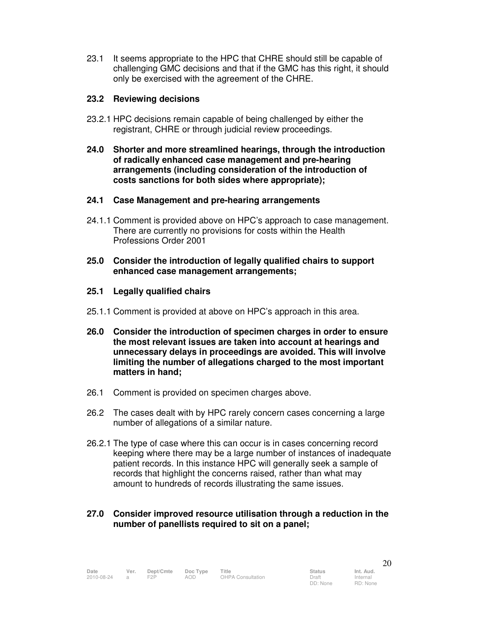23.1 It seems appropriate to the HPC that CHRE should still be capable of challenging GMC decisions and that if the GMC has this right, it should only be exercised with the agreement of the CHRE.

#### **23.2 Reviewing decisions**

- 23.2.1 HPC decisions remain capable of being challenged by either the registrant, CHRE or through judicial review proceedings.
- **24.0 Shorter and more streamlined hearings, through the introduction of radically enhanced case management and pre-hearing arrangements (including consideration of the introduction of costs sanctions for both sides where appropriate);**

#### **24.1 Case Management and pre-hearing arrangements**

- 24.1.1 Comment is provided above on HPC's approach to case management. There are currently no provisions for costs within the Health Professions Order 2001
- **25.0 Consider the introduction of legally qualified chairs to support enhanced case management arrangements;**

#### **25.1 Legally qualified chairs**

- 25.1.1 Comment is provided at above on HPC's approach in this area.
- **26.0 Consider the introduction of specimen charges in order to ensure the most relevant issues are taken into account at hearings and unnecessary delays in proceedings are avoided. This will involve limiting the number of allegations charged to the most important matters in hand;**
- 26.1 Comment is provided on specimen charges above.
- 26.2 The cases dealt with by HPC rarely concern cases concerning a large number of allegations of a similar nature.
- 26.2.1 The type of case where this can occur is in cases concerning record keeping where there may be a large number of instances of inadequate patient records. In this instance HPC will generally seek a sample of records that highlight the concerns raised, rather than what may amount to hundreds of records illustrating the same issues.

#### **27.0 Consider improved resource utilisation through a reduction in the number of panellists required to sit on a panel;**

Internal RD: None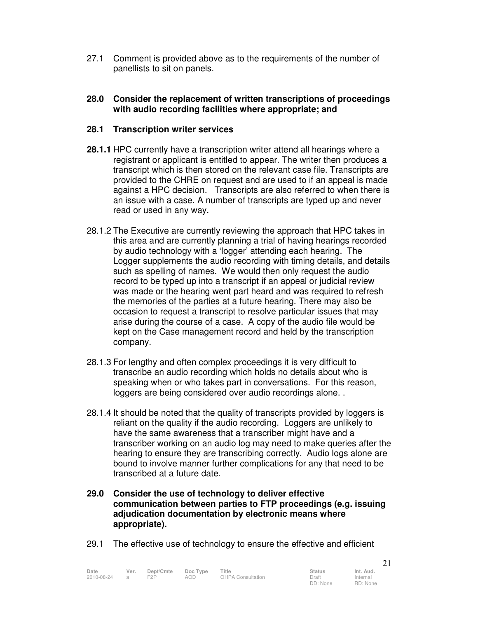27.1 Comment is provided above as to the requirements of the number of panellists to sit on panels.

#### **28.0 Consider the replacement of written transcriptions of proceedings with audio recording facilities where appropriate; and**

#### **28.1 Transcription writer services**

- **28.1.1** HPC currently have a transcription writer attend all hearings where a registrant or applicant is entitled to appear. The writer then produces a transcript which is then stored on the relevant case file. Transcripts are provided to the CHRE on request and are used to if an appeal is made against a HPC decision. Transcripts are also referred to when there is an issue with a case. A number of transcripts are typed up and never read or used in any way.
- 28.1.2 The Executive are currently reviewing the approach that HPC takes in this area and are currently planning a trial of having hearings recorded by audio technology with a 'logger' attending each hearing. The Logger supplements the audio recording with timing details, and details such as spelling of names. We would then only request the audio record to be typed up into a transcript if an appeal or judicial review was made or the hearing went part heard and was required to refresh the memories of the parties at a future hearing. There may also be occasion to request a transcript to resolve particular issues that may arise during the course of a case. A copy of the audio file would be kept on the Case management record and held by the transcription company.
- 28.1.3 For lengthy and often complex proceedings it is very difficult to transcribe an audio recording which holds no details about who is speaking when or who takes part in conversations. For this reason, loggers are being considered over audio recordings alone. .
- 28.1.4 It should be noted that the quality of transcripts provided by loggers is reliant on the quality if the audio recording. Loggers are unlikely to have the same awareness that a transcriber might have and a transcriber working on an audio log may need to make queries after the hearing to ensure they are transcribing correctly. Audio logs alone are bound to involve manner further complications for any that need to be transcribed at a future date.
- **29.0 Consider the use of technology to deliver effective communication between parties to FTP proceedings (e.g. issuing adjudication documentation by electronic means where appropriate).**
- 29.1 The effective use of technology to ensure the effective and efficient

| Date       | Ver.           | Dept/Cmte | Doc Type | Title                    | <b>Status</b> | Int. Aud. |
|------------|----------------|-----------|----------|--------------------------|---------------|-----------|
| 2010-08-24 | $\overline{a}$ | F2P       | AOD      | <b>OHPA Consultation</b> | Draft         | Internal  |
|            |                |           |          |                          | DD: None      | RD: None  |

21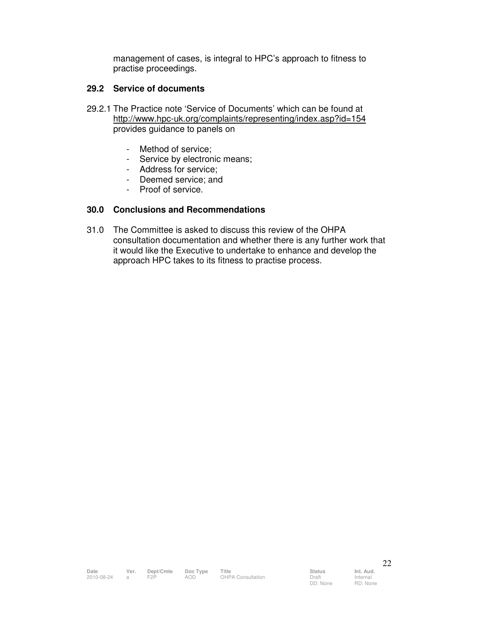management of cases, is integral to HPC's approach to fitness to practise proceedings.

#### **29.2 Service of documents**

- 29.2.1 The Practice note 'Service of Documents' which can be found at http://www.hpc-uk.org/complaints/representing/index.asp?id=154 provides guidance to panels on
	- Method of service;
	- Service by electronic means;
	- Address for service;
	- Deemed service; and
	- Proof of service.

#### **30.0 Conclusions and Recommendations**

31.0 The Committee is asked to discuss this review of the OHPA consultation documentation and whether there is any further work that it would like the Executive to undertake to enhance and develop the approach HPC takes to its fitness to practise process.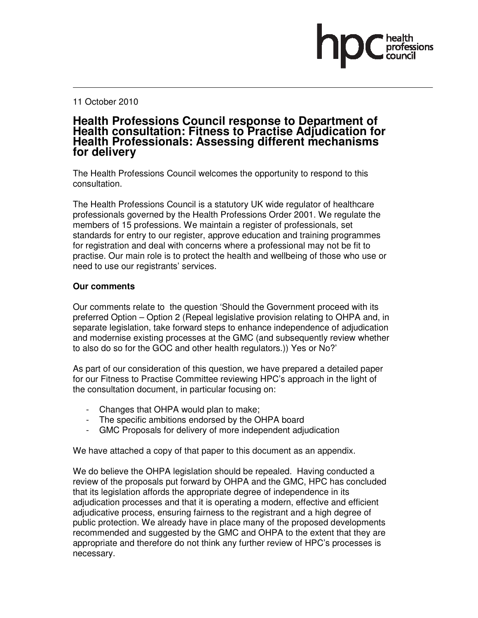#### 11 October 2010

### **Health Professions Council response to Department of Health consultation: Fitness to Practise Adjudication for Health Professionals: Assessing different mechanisms for delivery**

The Health Professions Council welcomes the opportunity to respond to this consultation.

The Health Professions Council is a statutory UK wide regulator of healthcare professionals governed by the Health Professions Order 2001. We regulate the members of 15 professions. We maintain a register of professionals, set standards for entry to our register, approve education and training programmes for registration and deal with concerns where a professional may not be fit to practise. Our main role is to protect the health and wellbeing of those who use or need to use our registrants' services.

#### **Our comments**

Our comments relate to the question 'Should the Government proceed with its preferred Option – Option 2 (Repeal legislative provision relating to OHPA and, in separate legislation, take forward steps to enhance independence of adjudication and modernise existing processes at the GMC (and subsequently review whether to also do so for the GOC and other health regulators.)) Yes or No?'

As part of our consideration of this question, we have prepared a detailed paper for our Fitness to Practise Committee reviewing HPC's approach in the light of the consultation document, in particular focusing on:

- Changes that OHPA would plan to make;
- The specific ambitions endorsed by the OHPA board
- GMC Proposals for delivery of more independent adjudication

We have attached a copy of that paper to this document as an appendix.

We do believe the OHPA legislation should be repealed. Having conducted a review of the proposals put forward by OHPA and the GMC, HPC has concluded that its legislation affords the appropriate degree of independence in its adjudication processes and that it is operating a modern, effective and efficient adjudicative process, ensuring fairness to the registrant and a high degree of public protection. We already have in place many of the proposed developments recommended and suggested by the GMC and OHPA to the extent that they are appropriate and therefore do not think any further review of HPC's processes is necessary.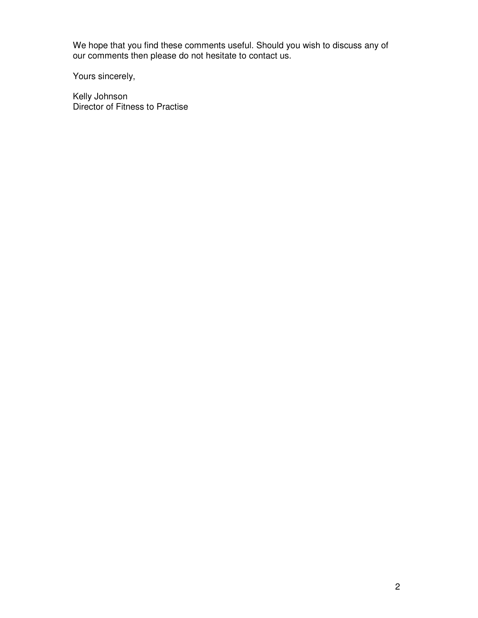We hope that you find these comments useful. Should you wish to discuss any of our comments then please do not hesitate to contact us.

Yours sincerely,

Kelly Johnson Director of Fitness to Practise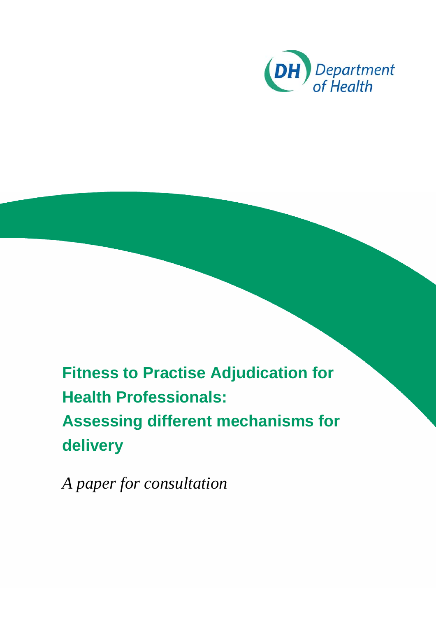![](_page_26_Picture_0.jpeg)

**Fitness to Practise Adjudication for Health Professionals: Assessing different mechanisms for delivery** 

*A paper for consultation*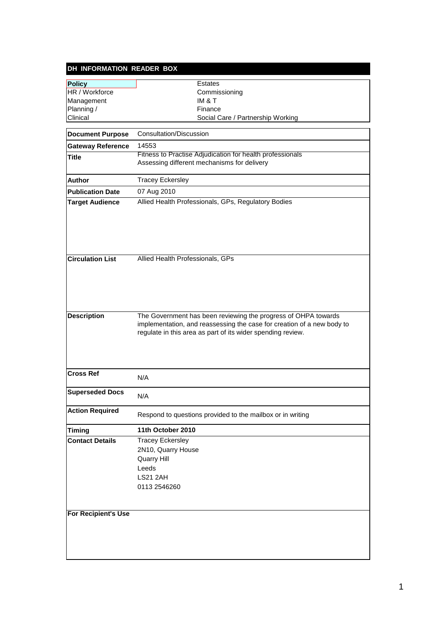| DH INFORMATION READER BOX  |                                                                                                                                                                                                         |
|----------------------------|---------------------------------------------------------------------------------------------------------------------------------------------------------------------------------------------------------|
| <b>Policy</b>              | Estates                                                                                                                                                                                                 |
| HR / Workforce             | Commissioning                                                                                                                                                                                           |
| Management                 | <b>IM &amp; T</b>                                                                                                                                                                                       |
| Planning /                 | Finance                                                                                                                                                                                                 |
| Clinical                   | Social Care / Partnership Working                                                                                                                                                                       |
| <b>Document Purpose</b>    | Consultation/Discussion                                                                                                                                                                                 |
| <b>Gateway Reference</b>   | 14553                                                                                                                                                                                                   |
| <b>Title</b>               | Fitness to Practise Adjudication for health professionals                                                                                                                                               |
|                            | Assessing different mechanisms for delivery                                                                                                                                                             |
| <b>Author</b>              | <b>Tracey Eckersley</b>                                                                                                                                                                                 |
| <b>Publication Date</b>    | 07 Aug 2010                                                                                                                                                                                             |
| <b>Target Audience</b>     | Allied Health Professionals, GPs, Regulatory Bodies                                                                                                                                                     |
|                            |                                                                                                                                                                                                         |
| <b>Circulation List</b>    | Allied Health Professionals, GPs                                                                                                                                                                        |
| <b>Description</b>         | The Government has been reviewing the progress of OHPA towards<br>implementation, and reassessing the case for creation of a new body to<br>regulate in this area as part of its wider spending review. |
| <b>Cross Ref</b>           | N/A                                                                                                                                                                                                     |
| Superseded Docs            | N/A                                                                                                                                                                                                     |
| <b>Action Required</b>     | Respond to questions provided to the mailbox or in writing                                                                                                                                              |
| <b>Timing</b>              | 11th October 2010                                                                                                                                                                                       |
| <b>Contact Details</b>     | <b>Tracey Eckersley</b><br>2N10, Quarry House<br>Quarry Hill<br>Leeds<br><b>LS21 2AH</b><br>0113 2546260                                                                                                |
| <b>For Recipient's Use</b> |                                                                                                                                                                                                         |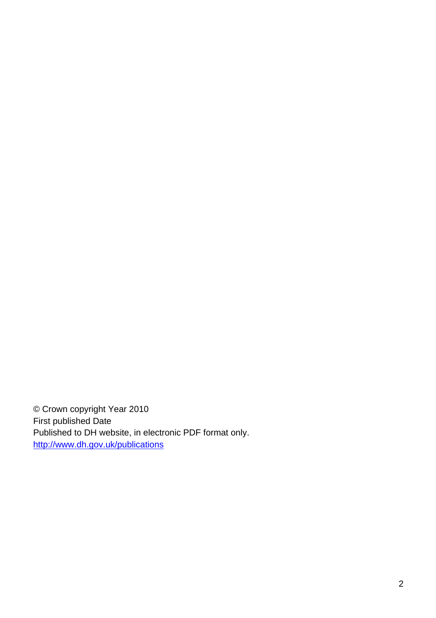© Crown copyright Year 2010 First published Date Published to DH website, in electronic PDF format only. http://www.dh.gov.uk/publications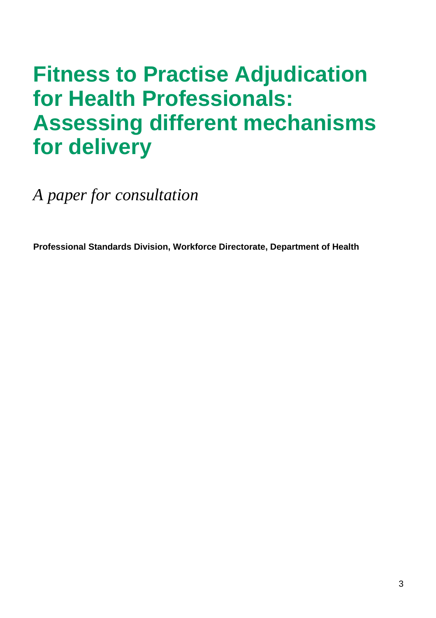# **Fitness to Practise Adjudication for Health Professionals: Assessing different mechanisms for delivery**

*A paper for consultation* 

**Professional Standards Division, Workforce Directorate, Department of Health**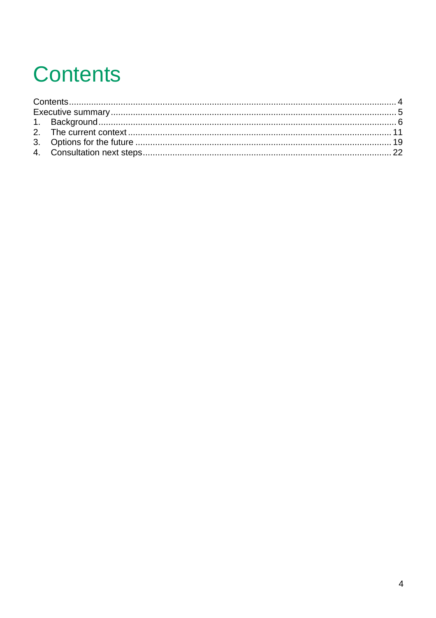# **Contents**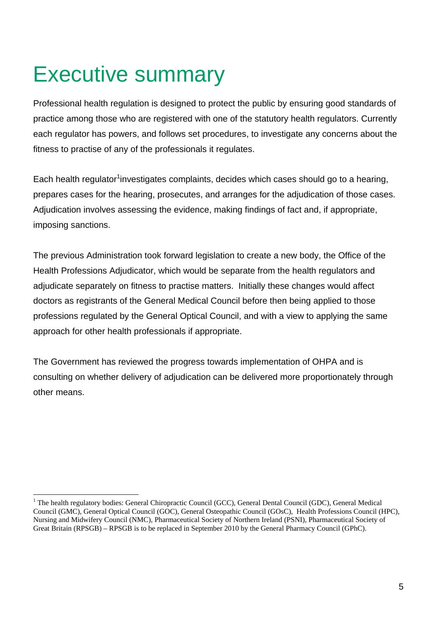# Executive summary

Professional health regulation is designed to protect the public by ensuring good standards of practice among those who are registered with one of the statutory health regulators. Currently each regulator has powers, and follows set procedures, to investigate any concerns about the fitness to practise of any of the professionals it regulates.

Each health regulator<sup>1</sup>investigates complaints, decides which cases should go to a hearing, prepares cases for the hearing, prosecutes, and arranges for the adjudication of those cases. Adjudication involves assessing the evidence, making findings of fact and, if appropriate, imposing sanctions.

The previous Administration took forward legislation to create a new body, the Office of the Health Professions Adjudicator, which would be separate from the health regulators and adjudicate separately on fitness to practise matters. Initially these changes would affect doctors as registrants of the General Medical Council before then being applied to those professions regulated by the General Optical Council, and with a view to applying the same approach for other health professionals if appropriate.

The Government has reviewed the progress towards implementation of OHPA and is consulting on whether delivery of adjudication can be delivered more proportionately through other means.

 $\frac{1}{1}$ <sup>1</sup> The health regulatory bodies: General Chiropractic Council (GCC), General Dental Council (GDC), General Medical Council (GMC), General Optical Council (GOC), General Osteopathic Council (GOsC), Health Professions Council (HPC), Nursing and Midwifery Council (NMC), Pharmaceutical Society of Northern Ireland (PSNI), Pharmaceutical Society of Great Britain (RPSGB) – RPSGB is to be replaced in September 2010 by the General Pharmacy Council (GPhC).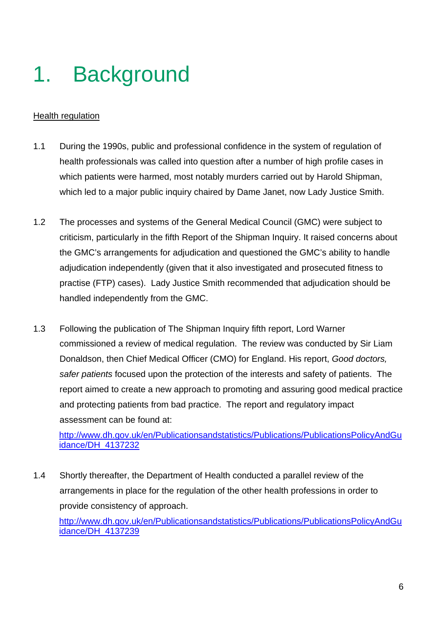# 1. Background

# Health regulation

- 1.1 During the 1990s, public and professional confidence in the system of regulation of health professionals was called into question after a number of high profile cases in which patients were harmed, most notably murders carried out by Harold Shipman, which led to a major public inquiry chaired by Dame Janet, now Lady Justice Smith.
- 1.2 The processes and systems of the General Medical Council (GMC) were subject to criticism, particularly in the fifth Report of the Shipman Inquiry. It raised concerns about the GMC's arrangements for adjudication and questioned the GMC's ability to handle adjudication independently (given that it also investigated and prosecuted fitness to practise (FTP) cases). Lady Justice Smith recommended that adjudication should be handled independently from the GMC.
- 1.3 Following the publication of The Shipman Inquiry fifth report, Lord Warner commissioned a review of medical regulation. The review was conducted by Sir Liam Donaldson, then Chief Medical Officer (CMO) for England. His report, *Good doctors, safer patients* focused upon the protection of the interests and safety of patients. The report aimed to create a new approach to promoting and assuring good medical practice and protecting patients from bad practice. The report and regulatory impact assessment can be found at:

http://www.dh.gov.uk/en/Publicationsandstatistics/Publications/PublicationsPolicyAndGu idance/DH\_4137232

1.4 Shortly thereafter, the Department of Health conducted a parallel review of the arrangements in place for the regulation of the other health professions in order to provide consistency of approach.

http://www.dh.gov.uk/en/Publicationsandstatistics/Publications/PublicationsPolicyAndGu idance/DH\_4137239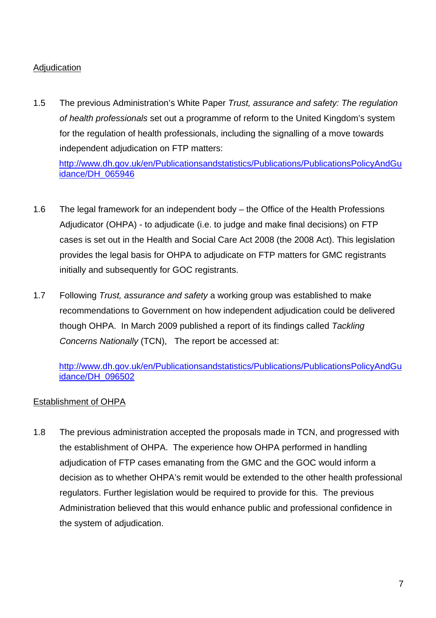# Adjudication

1.5 The previous Administration's White Paper *Trust, assurance and safety: The regulation of health professionals* set out a programme of reform to the United Kingdom's system for the regulation of health professionals, including the signalling of a move towards independent adjudication on FTP matters:

http://www.dh.gov.uk/en/Publicationsandstatistics/Publications/PublicationsPolicyAndGu idance/DH\_065946

- 1.6 The legal framework for an independent body the Office of the Health Professions Adjudicator (OHPA) - to adjudicate (i.e. to judge and make final decisions) on FTP cases is set out in the Health and Social Care Act 2008 (the 2008 Act). This legislation provides the legal basis for OHPA to adjudicate on FTP matters for GMC registrants initially and subsequently for GOC registrants.
- 1.7 Following *Trust, assurance and safety* a working group was established to make recommendations to Government on how independent adjudication could be delivered though OHPA. In March 2009 published a report of its findings called *Tackling Concerns Nationally* (TCN), The report be accessed at:

http://www.dh.gov.uk/en/Publicationsandstatistics/Publications/PublicationsPolicyAndGu idance/DH\_096502

## Establishment of OHPA

1.8 The previous administration accepted the proposals made in TCN, and progressed with the establishment of OHPA. The experience how OHPA performed in handling adjudication of FTP cases emanating from the GMC and the GOC would inform a decision as to whether OHPA's remit would be extended to the other health professional regulators. Further legislation would be required to provide for this. The previous Administration believed that this would enhance public and professional confidence in the system of adjudication.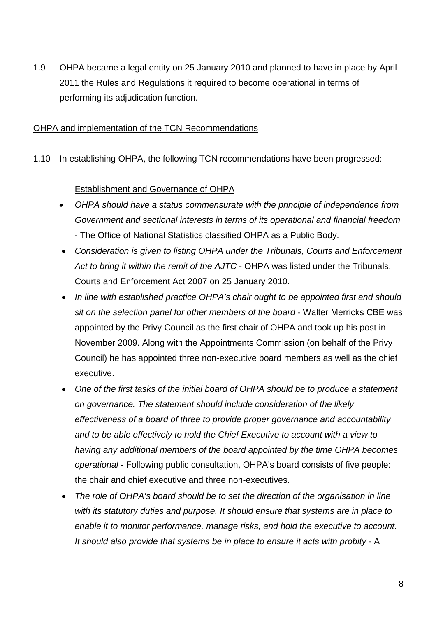1.9 OHPA became a legal entity on 25 January 2010 and planned to have in place by April 2011 the Rules and Regulations it required to become operational in terms of performing its adjudication function.

### OHPA and implementation of the TCN Recommendations

1.10 In establishing OHPA, the following TCN recommendations have been progressed:

## Establishment and Governance of OHPA

- *OHPA should have a status commensurate with the principle of independence from Government and sectional interests in terms of its operational and financial freedom* - The Office of National Statistics classified OHPA as a Public Body.
- *Consideration is given to listing OHPA under the Tribunals, Courts and Enforcement Act to bring it within the remit of the AJTC* - OHPA was listed under the Tribunals, Courts and Enforcement Act 2007 on 25 January 2010.
- *In line with established practice OHPA's chair ought to be appointed first and should sit on the selection panel for other members of the board* - Walter Merricks CBE was appointed by the Privy Council as the first chair of OHPA and took up his post in November 2009. Along with the Appointments Commission (on behalf of the Privy Council) he has appointed three non-executive board members as well as the chief executive.
- *One of the first tasks of the initial board of OHPA should be to produce a statement on governance. The statement should include consideration of the likely effectiveness of a board of three to provide proper governance and accountability and to be able effectively to hold the Chief Executive to account with a view to having any additional members of the board appointed by the time OHPA becomes operational* - Following public consultation, OHPA's board consists of five people: the chair and chief executive and three non-executives.
- *The role of OHPA's board should be to set the direction of the organisation in line with its statutory duties and purpose. It should ensure that systems are in place to enable it to monitor performance, manage risks, and hold the executive to account.*  It should also provide that systems be in place to ensure it acts with probity - A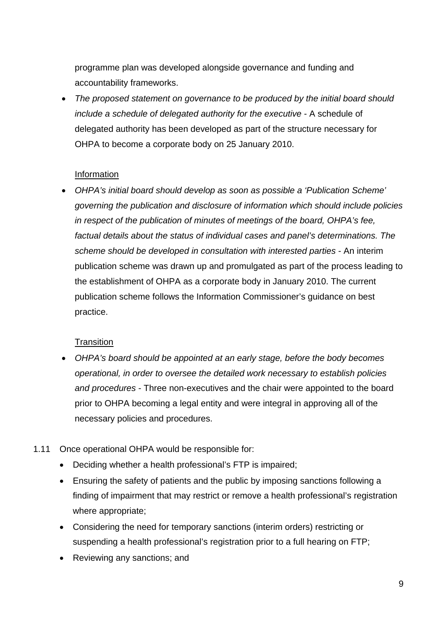programme plan was developed alongside governance and funding and accountability frameworks.

• *The proposed statement on governance to be produced by the initial board should include a schedule of delegated authority for the executive* - A schedule of delegated authority has been developed as part of the structure necessary for OHPA to become a corporate body on 25 January 2010.

## Information

• *OHPA's initial board should develop as soon as possible a 'Publication Scheme' governing the publication and disclosure of information which should include policies in respect of the publication of minutes of meetings of the board, OHPA's fee, factual details about the status of individual cases and panel's determinations. The scheme should be developed in consultation with interested parties* - An interim publication scheme was drawn up and promulgated as part of the process leading to the establishment of OHPA as a corporate body in January 2010. The current publication scheme follows the Information Commissioner's guidance on best practice.

## **Transition**

- *OHPA's board should be appointed at an early stage, before the body becomes operational, in order to oversee the detailed work necessary to establish policies and procedures* - Three non-executives and the chair were appointed to the board prior to OHPA becoming a legal entity and were integral in approving all of the necessary policies and procedures.
- 1.11 Once operational OHPA would be responsible for:
	- Deciding whether a health professional's FTP is impaired;
	- Ensuring the safety of patients and the public by imposing sanctions following a finding of impairment that may restrict or remove a health professional's registration where appropriate;
	- Considering the need for temporary sanctions (interim orders) restricting or suspending a health professional's registration prior to a full hearing on FTP;
	- Reviewing any sanctions; and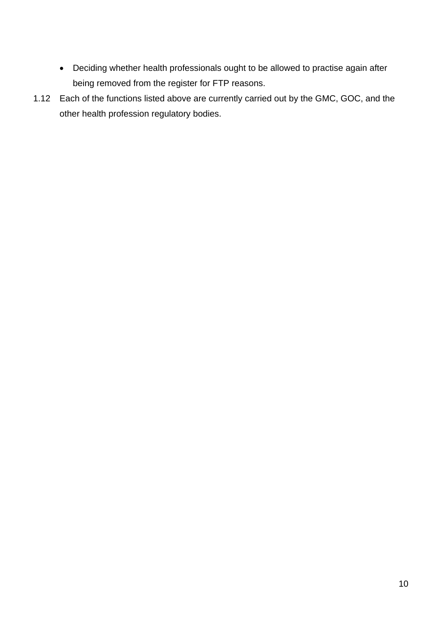- Deciding whether health professionals ought to be allowed to practise again after being removed from the register for FTP reasons.
- 1.12 Each of the functions listed above are currently carried out by the GMC, GOC, and the other health profession regulatory bodies.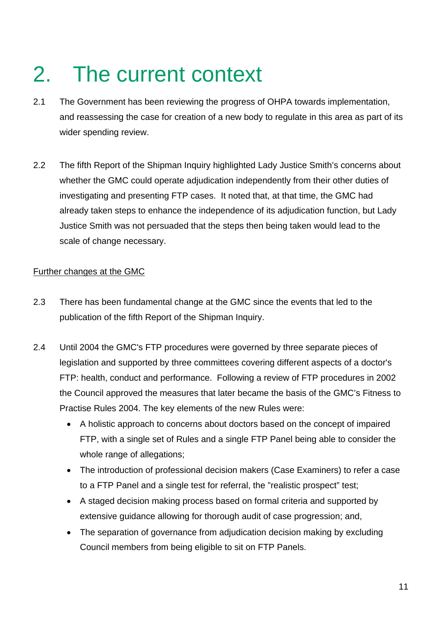# 2. The current context

- 2.1 The Government has been reviewing the progress of OHPA towards implementation, and reassessing the case for creation of a new body to regulate in this area as part of its wider spending review.
- 2.2 The fifth Report of the Shipman Inquiry highlighted Lady Justice Smith's concerns about whether the GMC could operate adjudication independently from their other duties of investigating and presenting FTP cases. It noted that, at that time, the GMC had already taken steps to enhance the independence of its adjudication function, but Lady Justice Smith was not persuaded that the steps then being taken would lead to the scale of change necessary.

### Further changes at the GMC

- 2.3 There has been fundamental change at the GMC since the events that led to the publication of the fifth Report of the Shipman Inquiry.
- 2.4 Until 2004 the GMC's FTP procedures were governed by three separate pieces of legislation and supported by three committees covering different aspects of a doctor's FTP: health, conduct and performance. Following a review of FTP procedures in 2002 the Council approved the measures that later became the basis of the GMC's Fitness to Practise Rules 2004. The key elements of the new Rules were:
	- A holistic approach to concerns about doctors based on the concept of impaired FTP, with a single set of Rules and a single FTP Panel being able to consider the whole range of allegations;
	- The introduction of professional decision makers (Case Examiners) to refer a case to a FTP Panel and a single test for referral, the "realistic prospect" test;
	- A staged decision making process based on formal criteria and supported by extensive guidance allowing for thorough audit of case progression; and,
	- The separation of governance from adjudication decision making by excluding Council members from being eligible to sit on FTP Panels.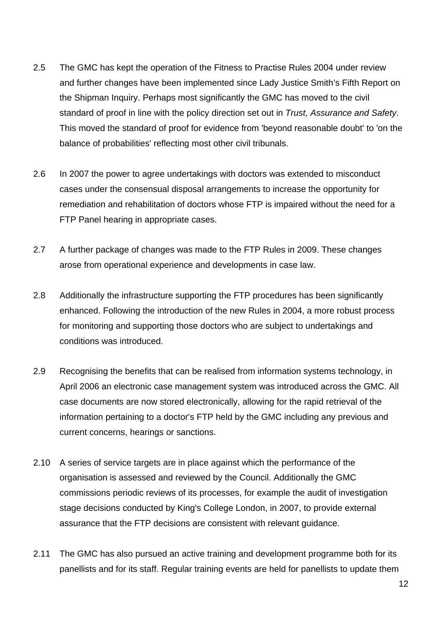- 2.5 The GMC has kept the operation of the Fitness to Practise Rules 2004 under review and further changes have been implemented since Lady Justice Smith's Fifth Report on the Shipman Inquiry. Perhaps most significantly the GMC has moved to the civil standard of proof in line with the policy direction set out in *Trust, Assurance and Safety*. This moved the standard of proof for evidence from 'beyond reasonable doubt' to 'on the balance of probabilities' reflecting most other civil tribunals.
- 2.6 In 2007 the power to agree undertakings with doctors was extended to misconduct cases under the consensual disposal arrangements to increase the opportunity for remediation and rehabilitation of doctors whose FTP is impaired without the need for a FTP Panel hearing in appropriate cases.
- 2.7 A further package of changes was made to the FTP Rules in 2009. These changes arose from operational experience and developments in case law.
- 2.8 Additionally the infrastructure supporting the FTP procedures has been significantly enhanced. Following the introduction of the new Rules in 2004, a more robust process for monitoring and supporting those doctors who are subject to undertakings and conditions was introduced.
- 2.9 Recognising the benefits that can be realised from information systems technology, in April 2006 an electronic case management system was introduced across the GMC. All case documents are now stored electronically, allowing for the rapid retrieval of the information pertaining to a doctor's FTP held by the GMC including any previous and current concerns, hearings or sanctions.
- 2.10 A series of service targets are in place against which the performance of the organisation is assessed and reviewed by the Council. Additionally the GMC commissions periodic reviews of its processes, for example the audit of investigation stage decisions conducted by King's College London, in 2007, to provide external assurance that the FTP decisions are consistent with relevant guidance.
- 2.11 The GMC has also pursued an active training and development programme both for its panellists and for its staff. Regular training events are held for panellists to update them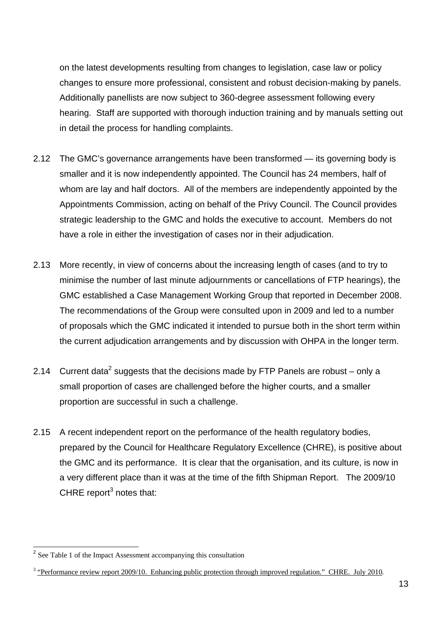on the latest developments resulting from changes to legislation, case law or policy changes to ensure more professional, consistent and robust decision-making by panels. Additionally panellists are now subject to 360-degree assessment following every hearing. Staff are supported with thorough induction training and by manuals setting out in detail the process for handling complaints.

- 2.12 The GMC's governance arrangements have been transformed its governing body is smaller and it is now independently appointed. The Council has 24 members, half of whom are lay and half doctors. All of the members are independently appointed by the Appointments Commission, acting on behalf of the Privy Council. The Council provides strategic leadership to the GMC and holds the executive to account. Members do not have a role in either the investigation of cases nor in their adjudication.
- 2.13 More recently, in view of concerns about the increasing length of cases (and to try to minimise the number of last minute adjournments or cancellations of FTP hearings), the GMC established a Case Management Working Group that reported in December 2008. The recommendations of the Group were consulted upon in 2009 and led to a number of proposals which the GMC indicated it intended to pursue both in the short term within the current adjudication arrangements and by discussion with OHPA in the longer term.
- 2.14 Current data<sup>2</sup> suggests that the decisions made by FTP Panels are robust only a small proportion of cases are challenged before the higher courts, and a smaller proportion are successful in such a challenge.
- 2.15 A recent independent report on the performance of the health regulatory bodies, prepared by the Council for Healthcare Regulatory Excellence (CHRE), is positive about the GMC and its performance. It is clear that the organisation, and its culture, is now in a very different place than it was at the time of the fifth Shipman Report. The 2009/10 CHRE report<sup>3</sup> notes that:

<sup>&</sup>lt;sup>2</sup> See Table 1 of the Impact Assessment accompanying this consultation

<sup>&</sup>lt;sup>3</sup> "Performance review report 2009/10. Enhancing public protection through improved regulation." CHRE. July 2010.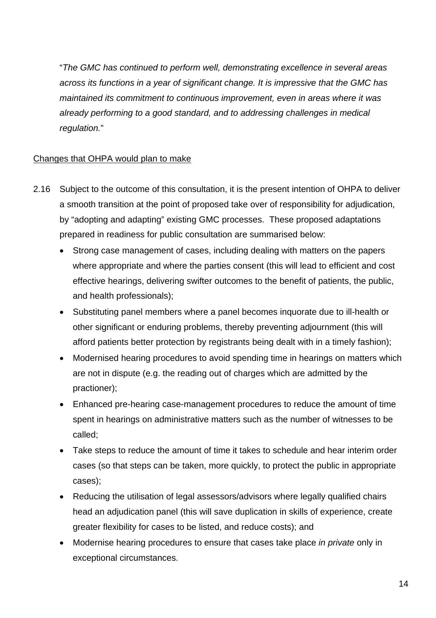"*The GMC has continued to perform well, demonstrating excellence in several areas across its functions in a year of significant change. It is impressive that the GMC has maintained its commitment to continuous improvement, even in areas where it was already performing to a good standard, and to addressing challenges in medical regulation.*"

# Changes that OHPA would plan to make

- 2.16 Subject to the outcome of this consultation, it is the present intention of OHPA to deliver a smooth transition at the point of proposed take over of responsibility for adjudication, by "adopting and adapting" existing GMC processes. These proposed adaptations prepared in readiness for public consultation are summarised below:
	- Strong case management of cases, including dealing with matters on the papers where appropriate and where the parties consent (this will lead to efficient and cost effective hearings, delivering swifter outcomes to the benefit of patients, the public, and health professionals);
	- Substituting panel members where a panel becomes inquorate due to ill-health or other significant or enduring problems, thereby preventing adjournment (this will afford patients better protection by registrants being dealt with in a timely fashion);
	- Modernised hearing procedures to avoid spending time in hearings on matters which are not in dispute (e.g. the reading out of charges which are admitted by the practioner);
	- Enhanced pre-hearing case-management procedures to reduce the amount of time spent in hearings on administrative matters such as the number of witnesses to be called;
	- Take steps to reduce the amount of time it takes to schedule and hear interim order cases (so that steps can be taken, more quickly, to protect the public in appropriate cases);
	- Reducing the utilisation of legal assessors/advisors where legally qualified chairs head an adjudication panel (this will save duplication in skills of experience, create greater flexibility for cases to be listed, and reduce costs); and
	- Modernise hearing procedures to ensure that cases take place *in private* only in exceptional circumstances.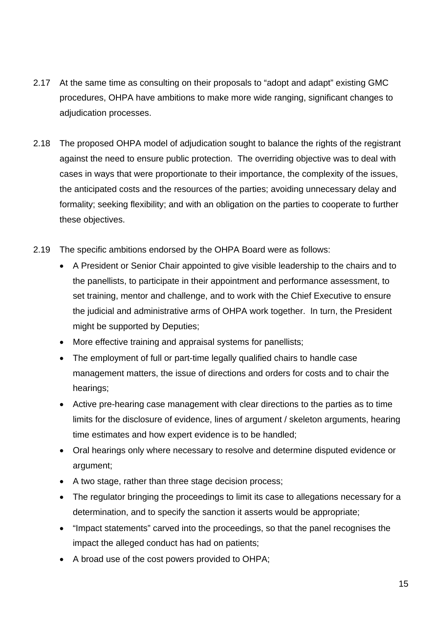- 2.17 At the same time as consulting on their proposals to "adopt and adapt" existing GMC procedures, OHPA have ambitions to make more wide ranging, significant changes to adjudication processes.
- 2.18 The proposed OHPA model of adjudication sought to balance the rights of the registrant against the need to ensure public protection. The overriding objective was to deal with cases in ways that were proportionate to their importance, the complexity of the issues, the anticipated costs and the resources of the parties; avoiding unnecessary delay and formality; seeking flexibility; and with an obligation on the parties to cooperate to further these objectives.
- 2.19 The specific ambitions endorsed by the OHPA Board were as follows:
	- A President or Senior Chair appointed to give visible leadership to the chairs and to the panellists, to participate in their appointment and performance assessment, to set training, mentor and challenge, and to work with the Chief Executive to ensure the judicial and administrative arms of OHPA work together. In turn, the President might be supported by Deputies;
	- More effective training and appraisal systems for panellists;
	- The employment of full or part-time legally qualified chairs to handle case management matters, the issue of directions and orders for costs and to chair the hearings;
	- Active pre-hearing case management with clear directions to the parties as to time limits for the disclosure of evidence, lines of argument / skeleton arguments, hearing time estimates and how expert evidence is to be handled;
	- Oral hearings only where necessary to resolve and determine disputed evidence or argument;
	- A two stage, rather than three stage decision process;
	- The regulator bringing the proceedings to limit its case to allegations necessary for a determination, and to specify the sanction it asserts would be appropriate;
	- "Impact statements" carved into the proceedings, so that the panel recognises the impact the alleged conduct has had on patients;
	- A broad use of the cost powers provided to OHPA;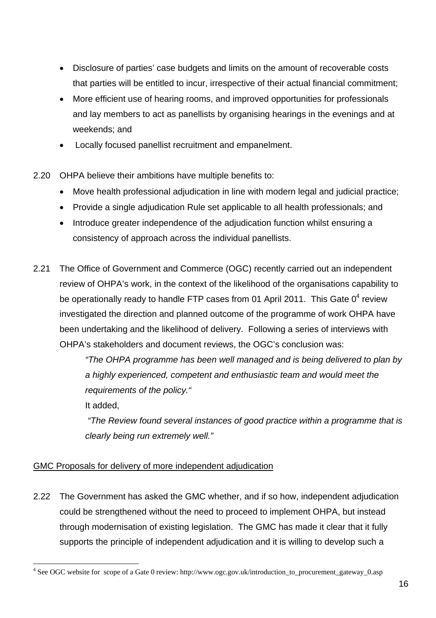- Disclosure of parties' case budgets and limits on the amount of recoverable costs that parties will be entitled to incur, irrespective of their actual financial commitment;
- More efficient use of hearing rooms, and improved opportunities for professionals and lay members to act as panellists by organising hearings in the evenings and at weekends; and
- Locally focused panellist recruitment and empanelment.
- 2.20 OHPA believe their ambitions have multiple benefits to:
	- Move health professional adjudication in line with modern legal and judicial practice;
	- Provide a single adjudication Rule set applicable to all health professionals; and
	- Introduce greater independence of the adjudication function whilst ensuring a consistency of approach across the individual panellists.
- 2.21 The Office of Government and Commerce (OGC) recently carried out an independent review of OHPA's work, in the context of the likelihood of the organisations capability to be operationally ready to handle FTP cases from 01 April 2011. This Gate 0<sup>4</sup> review investigated the direction and planned outcome of the programme of work OHPA have been undertaking and the likelihood of delivery. Following a series of interviews with OHPA's stakeholders and document reviews, the OGC's conclusion was:

*"The OHPA programme has been well managed and is being delivered to plan by a highly experienced, competent and enthusiastic team and would meet the requirements of the policy."* 

It added,

 *"The Review found several instances of good practice within a programme that is clearly being run extremely well."* 

# GMC Proposals for delivery of more independent adjudication

2.22 The Government has asked the GMC whether, and if so how, independent adjudication could be strengthened without the need to proceed to implement OHPA, but instead through modernisation of existing legislation. The GMC has made it clear that it fully supports the principle of independent adjudication and it is willing to develop such a

 $\frac{1}{4}$ See OGC website for scope of a Gate 0 review: http://www.ogc.gov.uk/introduction\_to\_procurement\_gateway\_0.asp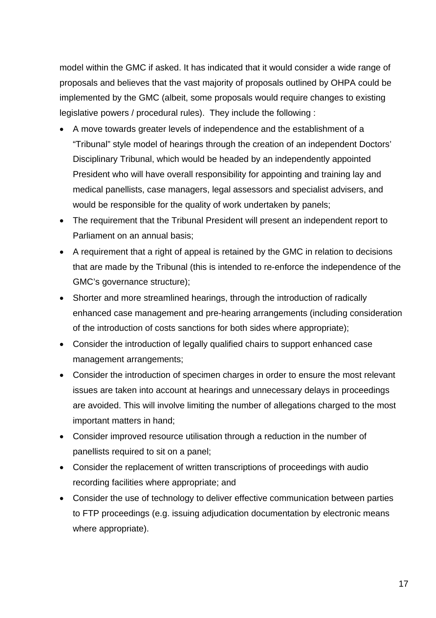model within the GMC if asked. It has indicated that it would consider a wide range of proposals and believes that the vast majority of proposals outlined by OHPA could be implemented by the GMC (albeit, some proposals would require changes to existing legislative powers / procedural rules). They include the following :

- A move towards greater levels of independence and the establishment of a "Tribunal" style model of hearings through the creation of an independent Doctors' Disciplinary Tribunal, which would be headed by an independently appointed President who will have overall responsibility for appointing and training lay and medical panellists, case managers, legal assessors and specialist advisers, and would be responsible for the quality of work undertaken by panels;
- The requirement that the Tribunal President will present an independent report to Parliament on an annual basis;
- A requirement that a right of appeal is retained by the GMC in relation to decisions that are made by the Tribunal (this is intended to re-enforce the independence of the GMC's governance structure);
- Shorter and more streamlined hearings, through the introduction of radically enhanced case management and pre-hearing arrangements (including consideration of the introduction of costs sanctions for both sides where appropriate);
- Consider the introduction of legally qualified chairs to support enhanced case management arrangements;
- Consider the introduction of specimen charges in order to ensure the most relevant issues are taken into account at hearings and unnecessary delays in proceedings are avoided. This will involve limiting the number of allegations charged to the most important matters in hand;
- Consider improved resource utilisation through a reduction in the number of panellists required to sit on a panel;
- Consider the replacement of written transcriptions of proceedings with audio recording facilities where appropriate; and
- Consider the use of technology to deliver effective communication between parties to FTP proceedings (e.g. issuing adjudication documentation by electronic means where appropriate).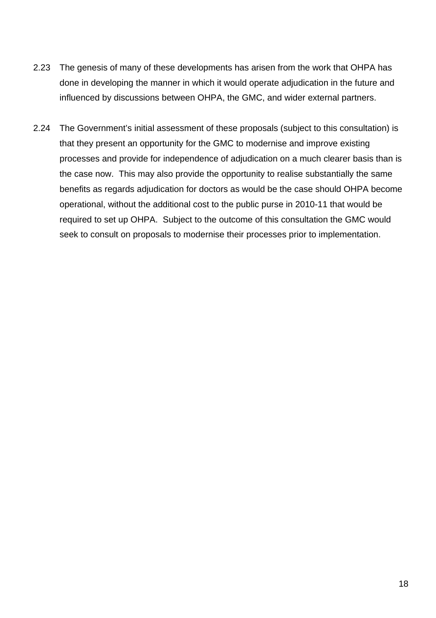- 2.23 The genesis of many of these developments has arisen from the work that OHPA has done in developing the manner in which it would operate adjudication in the future and influenced by discussions between OHPA, the GMC, and wider external partners.
- 2.24 The Government's initial assessment of these proposals (subject to this consultation) is that they present an opportunity for the GMC to modernise and improve existing processes and provide for independence of adjudication on a much clearer basis than is the case now. This may also provide the opportunity to realise substantially the same benefits as regards adjudication for doctors as would be the case should OHPA become operational, without the additional cost to the public purse in 2010-11 that would be required to set up OHPA. Subject to the outcome of this consultation the GMC would seek to consult on proposals to modernise their processes prior to implementation.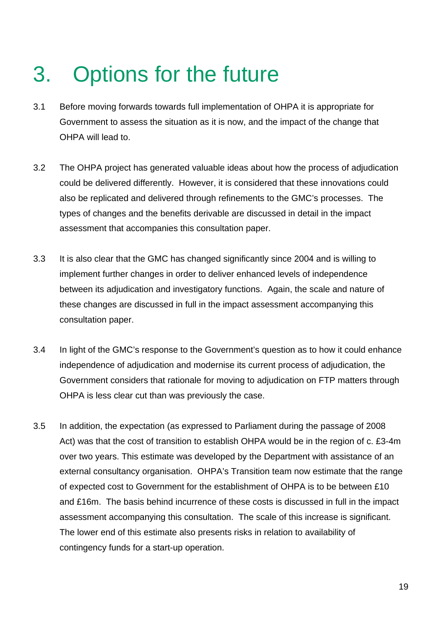# 3. Options for the future

- 3.1 Before moving forwards towards full implementation of OHPA it is appropriate for Government to assess the situation as it is now, and the impact of the change that OHPA will lead to.
- 3.2 The OHPA project has generated valuable ideas about how the process of adjudication could be delivered differently. However, it is considered that these innovations could also be replicated and delivered through refinements to the GMC's processes. The types of changes and the benefits derivable are discussed in detail in the impact assessment that accompanies this consultation paper.
- 3.3 It is also clear that the GMC has changed significantly since 2004 and is willing to implement further changes in order to deliver enhanced levels of independence between its adjudication and investigatory functions. Again, the scale and nature of these changes are discussed in full in the impact assessment accompanying this consultation paper.
- 3.4 In light of the GMC's response to the Government's question as to how it could enhance independence of adjudication and modernise its current process of adjudication, the Government considers that rationale for moving to adjudication on FTP matters through OHPA is less clear cut than was previously the case.
- 3.5 In addition, the expectation (as expressed to Parliament during the passage of 2008 Act) was that the cost of transition to establish OHPA would be in the region of c. £3-4m over two years. This estimate was developed by the Department with assistance of an external consultancy organisation. OHPA's Transition team now estimate that the range of expected cost to Government for the establishment of OHPA is to be between £10 and £16m. The basis behind incurrence of these costs is discussed in full in the impact assessment accompanying this consultation. The scale of this increase is significant. The lower end of this estimate also presents risks in relation to availability of contingency funds for a start-up operation.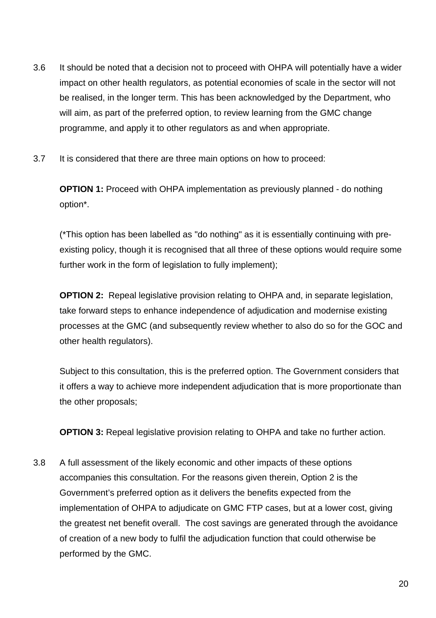- 3.6 It should be noted that a decision not to proceed with OHPA will potentially have a wider impact on other health regulators, as potential economies of scale in the sector will not be realised, in the longer term. This has been acknowledged by the Department, who will aim, as part of the preferred option, to review learning from the GMC change programme, and apply it to other regulators as and when appropriate.
- 3.7 It is considered that there are three main options on how to proceed:

**OPTION 1:** Proceed with OHPA implementation as previously planned - do nothing option\*.

(\*This option has been labelled as "do nothing" as it is essentially continuing with preexisting policy, though it is recognised that all three of these options would require some further work in the form of legislation to fully implement);

**OPTION 2:** Repeal legislative provision relating to OHPA and, in separate legislation, take forward steps to enhance independence of adjudication and modernise existing processes at the GMC (and subsequently review whether to also do so for the GOC and other health regulators).

Subject to this consultation, this is the preferred option. The Government considers that it offers a way to achieve more independent adjudication that is more proportionate than the other proposals;

**OPTION 3:** Repeal legislative provision relating to OHPA and take no further action.

3.8 A full assessment of the likely economic and other impacts of these options accompanies this consultation. For the reasons given therein, Option 2 is the Government's preferred option as it delivers the benefits expected from the implementation of OHPA to adjudicate on GMC FTP cases, but at a lower cost, giving the greatest net benefit overall. The cost savings are generated through the avoidance of creation of a new body to fulfil the adjudication function that could otherwise be performed by the GMC.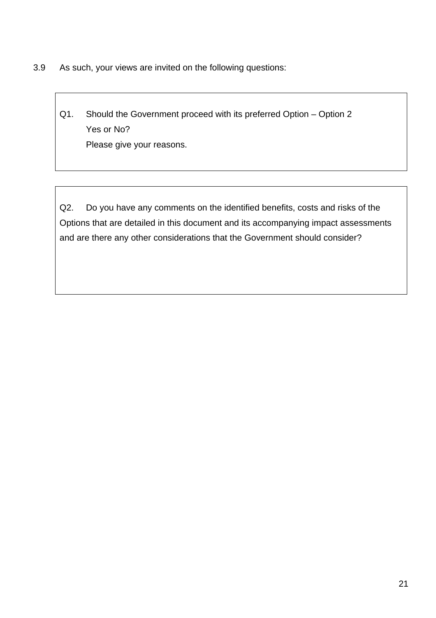3.9 As such, your views are invited on the following questions:

Q1. Should the Government proceed with its preferred Option – Option 2 Yes or No? Please give your reasons.

Q2. Do you have any comments on the identified benefits, costs and risks of the Options that are detailed in this document and its accompanying impact assessments and are there any other considerations that the Government should consider?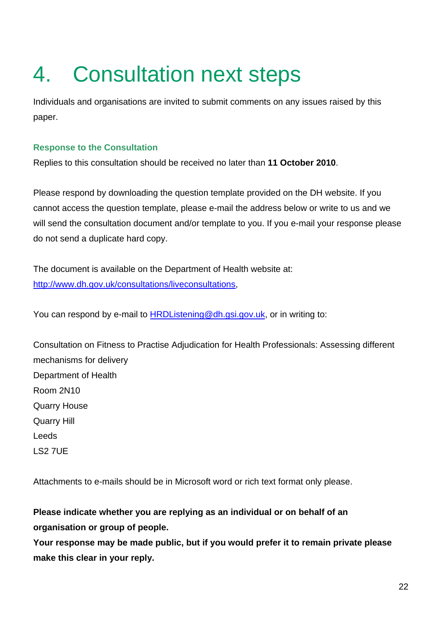# 4. Consultation next steps

Individuals and organisations are invited to submit comments on any issues raised by this paper.

# **Response to the Consultation**

Replies to this consultation should be received no later than **11 October 2010**.

Please respond by downloading the question template provided on the DH website. If you cannot access the question template, please e-mail the address below or write to us and we will send the consultation document and/or template to you. If you e-mail your response please do not send a duplicate hard copy.

The document is available on the Department of Health website at: http://www.dh.gov.uk/consultations/liveconsultations,

You can respond by e-mail to HRDListening@dh.gsi.gov.uk, or in writing to:

Consultation on Fitness to Practise Adjudication for Health Professionals: Assessing different mechanisms for delivery Department of Health Room 2N10 Quarry House Quarry Hill Leeds LS2 7UE

Attachments to e-mails should be in Microsoft word or rich text format only please.

**Please indicate whether you are replying as an individual or on behalf of an organisation or group of people.** 

**Your response may be made public, but if you would prefer it to remain private please make this clear in your reply.**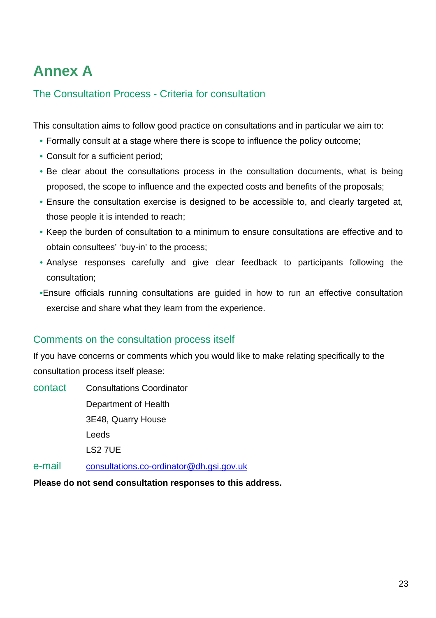# **Annex A**

# The Consultation Process - Criteria for consultation

This consultation aims to follow good practice on consultations and in particular we aim to:

- Formally consult at a stage where there is scope to influence the policy outcome;
- Consult for a sufficient period;
- Be clear about the consultations process in the consultation documents, what is being proposed, the scope to influence and the expected costs and benefits of the proposals;
- Ensure the consultation exercise is designed to be accessible to, and clearly targeted at, those people it is intended to reach;
- Keep the burden of consultation to a minimum to ensure consultations are effective and to obtain consultees' 'buy-in' to the process;
- Analyse responses carefully and give clear feedback to participants following the consultation;
- •Ensure officials running consultations are guided in how to run an effective consultation exercise and share what they learn from the experience.

# Comments on the consultation process itself

If you have concerns or comments which you would like to make relating specifically to the consultation process itself please:

contact Consultations Coordinator Department of Health 3E48, Quarry House Leeds LS2 7UE

e-mail consultations.co-ordinator@dh.gsi.gov.uk

**Please do not send consultation responses to this address.**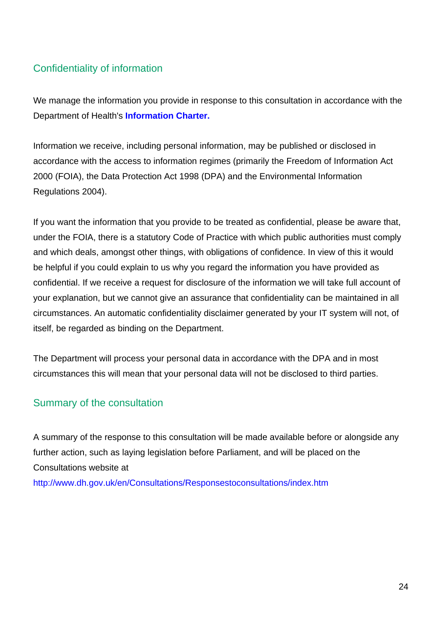# Confidentiality of information

We manage the information you provide in response to this consultation in accordance with the Department of Health's **Information Charter.**

Information we receive, including personal information, may be published or disclosed in accordance with the access to information regimes (primarily the Freedom of Information Act 2000 (FOIA), the Data Protection Act 1998 (DPA) and the Environmental Information Regulations 2004).

If you want the information that you provide to be treated as confidential, please be aware that, under the FOIA, there is a statutory Code of Practice with which public authorities must comply and which deals, amongst other things, with obligations of confidence. In view of this it would be helpful if you could explain to us why you regard the information you have provided as confidential. If we receive a request for disclosure of the information we will take full account of your explanation, but we cannot give an assurance that confidentiality can be maintained in all circumstances. An automatic confidentiality disclaimer generated by your IT system will not, of itself, be regarded as binding on the Department.

The Department will process your personal data in accordance with the DPA and in most circumstances this will mean that your personal data will not be disclosed to third parties.

# Summary of the consultation

A summary of the response to this consultation will be made available before or alongside any further action, such as laying legislation before Parliament, and will be placed on the Consultations website at

http://www.dh.gov.uk/en/Consultations/Responsestoconsultations/index.htm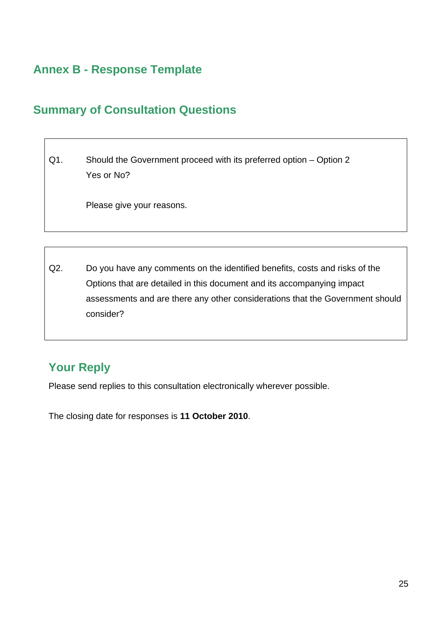# **Annex B - Response Template**

# **Summary of Consultation Questions**

Q1. Should the Government proceed with its preferred option – Option 2 Yes or No?

Please give your reasons.

Q2. Do you have any comments on the identified benefits, costs and risks of the Options that are detailed in this document and its accompanying impact assessments and are there any other considerations that the Government should consider?

# **Your Reply**

Please send replies to this consultation electronically wherever possible.

The closing date for responses is **11 October 2010**.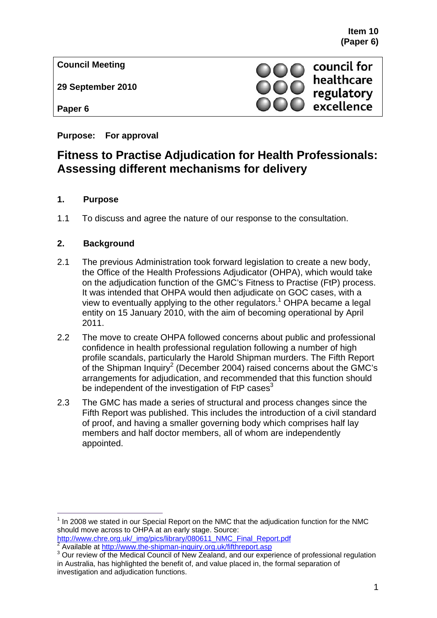**Council Meeting** 

**29 September 2010** 

**Paper 6** 

**Purpose: For approval** 

# **Fitness to Practise Adjudication for Health Professionals: Assessing different mechanisms for delivery**

## **1. Purpose**

1.1 To discuss and agree the nature of our response to the consultation.

# **2. Background**

- 2.1 The previous Administration took forward legislation to create a new body, the Office of the Health Professions Adjudicator (OHPA), which would take on the adjudication function of the GMC's Fitness to Practise (FtP) process. It was intended that OHPA would then adjudicate on GOC cases, with a view to eventually applying to the other regulators.<sup>1</sup> OHPA became a legal entity on 15 January 2010, with the aim of becoming operational by April 2011.
- 2.2 The move to create OHPA followed concerns about public and professional confidence in health professional regulation following a number of high profile scandals, particularly the Harold Shipman murders. The Fifth Report of the Shipman Inquiry<sup>2</sup> (December 2004) raised concerns about the GMC's arrangements for adjudication, and recommended that this function should be independent of the investigation of  $FtP$  cases<sup>3</sup>
- 2.3 The GMC has made a series of structural and process changes since the Fifth Report was published. This includes the introduction of a civil standard of proof, and having a smaller governing body which comprises half lay members and half doctor members, all of whom are independently appointed.

council for healthcare regulatory excellence

 $\overline{a}$  $1$  In 2008 we stated in our Special Report on the NMC that the adjudication function for the NMC should move across to OHPA at an early stage. Source:

http://www.chre.org.uk/\_img/pics/library/080611\_NMC\_Final\_Report.pdf <sup>2</sup>  $2\overline{A}$  Available at http://www.the-shipman-inquiry.org.uk/fifthreport.asp

<sup>&</sup>lt;sup>3</sup> Our review of the Medical Council of New Zealand, and our experience of professional regulation in Australia, has highlighted the benefit of, and value placed in, the formal separation of investigation and adjudication functions.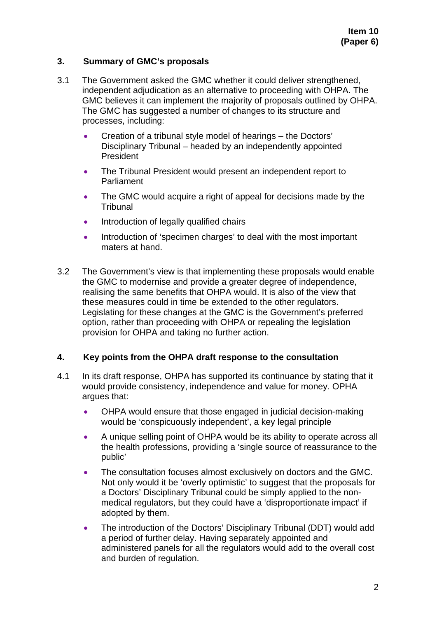### **3. Summary of GMC's proposals**

- 3.1 The Government asked the GMC whether it could deliver strengthened, independent adjudication as an alternative to proceeding with OHPA. The GMC believes it can implement the majority of proposals outlined by OHPA. The GMC has suggested a number of changes to its structure and processes, including:
	- Creation of a tribunal style model of hearings the Doctors' Disciplinary Tribunal – headed by an independently appointed President
	- The Tribunal President would present an independent report to **Parliament**
	- The GMC would acquire a right of appeal for decisions made by the **Tribunal**
	- Introduction of legally qualified chairs
	- Introduction of 'specimen charges' to deal with the most important maters at hand.
- 3.2 The Government's view is that implementing these proposals would enable the GMC to modernise and provide a greater degree of independence, realising the same benefits that OHPA would. It is also of the view that these measures could in time be extended to the other regulators. Legislating for these changes at the GMC is the Government's preferred option, rather than proceeding with OHPA or repealing the legislation provision for OHPA and taking no further action.

#### **4. Key points from the OHPA draft response to the consultation**

- 4.1 In its draft response, OHPA has supported its continuance by stating that it would provide consistency, independence and value for money. OPHA argues that:
	- OHPA would ensure that those engaged in judicial decision-making would be 'conspicuously independent', a key legal principle
	- A unique selling point of OHPA would be its ability to operate across all the health professions, providing a 'single source of reassurance to the public'
	- The consultation focuses almost exclusively on doctors and the GMC. Not only would it be 'overly optimistic' to suggest that the proposals for a Doctors' Disciplinary Tribunal could be simply applied to the nonmedical regulators, but they could have a 'disproportionate impact' if adopted by them.
	- The introduction of the Doctors' Disciplinary Tribunal (DDT) would add a period of further delay. Having separately appointed and administered panels for all the regulators would add to the overall cost and burden of regulation.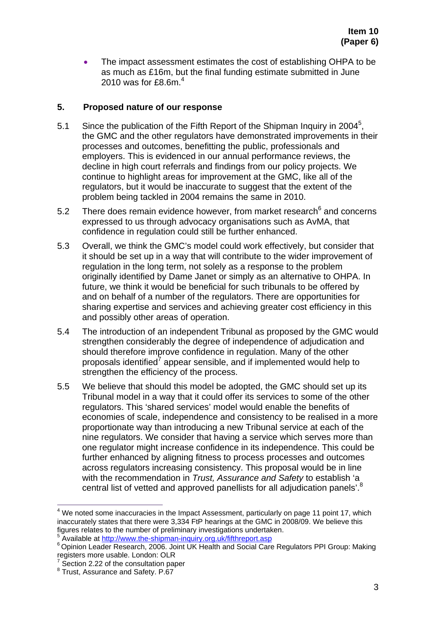• The impact assessment estimates the cost of establishing OHPA to be as much as £16m, but the final funding estimate submitted in June 2010 was for £8.6m. $<sup>4</sup>$ </sup>

### **5. Proposed nature of our response**

- 5.1 Since the publication of the Fifth Report of the Shipman Inquiry in 2004<sup>5</sup>, the GMC and the other regulators have demonstrated improvements in their processes and outcomes, benefitting the public, professionals and employers. This is evidenced in our annual performance reviews, the decline in high court referrals and findings from our policy projects. We continue to highlight areas for improvement at the GMC, like all of the regulators, but it would be inaccurate to suggest that the extent of the problem being tackled in 2004 remains the same in 2010.
- 5.2 There does remain evidence however, from market research $6$  and concerns expressed to us through advocacy organisations such as AvMA, that confidence in regulation could still be further enhanced.
- 5.3 Overall, we think the GMC's model could work effectively, but consider that it should be set up in a way that will contribute to the wider improvement of regulation in the long term, not solely as a response to the problem originally identified by Dame Janet or simply as an alternative to OHPA. In future, we think it would be beneficial for such tribunals to be offered by and on behalf of a number of the regulators. There are opportunities for sharing expertise and services and achieving greater cost efficiency in this and possibly other areas of operation.
- 5.4 The introduction of an independent Tribunal as proposed by the GMC would strengthen considerably the degree of independence of adjudication and should therefore improve confidence in regulation. Many of the other proposals identified<sup>7</sup> appear sensible, and if implemented would help to strengthen the efficiency of the process.
- 5.5 We believe that should this model be adopted, the GMC should set up its Tribunal model in a way that it could offer its services to some of the other regulators. This 'shared services' model would enable the benefits of economies of scale, independence and consistency to be realised in a more proportionate way than introducing a new Tribunal service at each of the nine regulators. We consider that having a service which serves more than one regulator might increase confidence in its independence. This could be further enhanced by aligning fitness to process processes and outcomes across regulators increasing consistency. This proposal would be in line with the recommendation in *Trust, Assurance and Safety* to establish 'a central list of vetted and approved panellists for all adjudication panels'.<sup>8</sup>

 $\overline{a}$ 

 $4$  We noted some inaccuracies in the Impact Assessment, particularly on page 11 point 17, which inaccurately states that there were 3,334 FtP hearings at the GMC in 2008/09. We believe this figures relates to the number of preliminary investigations undertaken.<br>Available at http://www.the-shipman-inquiry.org.uk/fifthreport.asp 5

<sup>6</sup> Opinion Leader Research, 2006. Joint UK Health and Social Care Regulators PPI Group: Making registers more usable. London: OLR 7

Section 2.22 of the consultation paper

 $8$  Trust, Assurance and Safety. P.67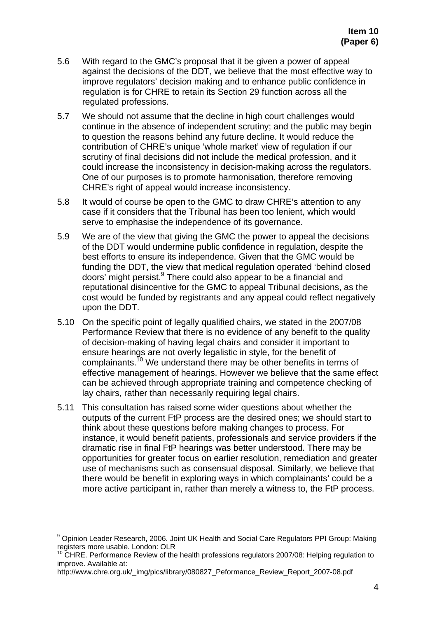- 5.6 With regard to the GMC's proposal that it be given a power of appeal against the decisions of the DDT, we believe that the most effective way to improve regulators' decision making and to enhance public confidence in regulation is for CHRE to retain its Section 29 function across all the regulated professions.
- 5.7 We should not assume that the decline in high court challenges would continue in the absence of independent scrutiny; and the public may begin to question the reasons behind any future decline. It would reduce the contribution of CHRE's unique 'whole market' view of regulation if our scrutiny of final decisions did not include the medical profession, and it could increase the inconsistency in decision-making across the regulators. One of our purposes is to promote harmonisation, therefore removing CHRE's right of appeal would increase inconsistency.
- 5.8 It would of course be open to the GMC to draw CHRE's attention to any case if it considers that the Tribunal has been too lenient, which would serve to emphasise the independence of its governance.
- 5.9 We are of the view that giving the GMC the power to appeal the decisions of the DDT would undermine public confidence in regulation, despite the best efforts to ensure its independence. Given that the GMC would be funding the DDT, the view that medical regulation operated 'behind closed doors' might persist.<sup>9</sup> There could also appear to be a financial and reputational disincentive for the GMC to appeal Tribunal decisions, as the cost would be funded by registrants and any appeal could reflect negatively upon the DDT.
- 5.10 On the specific point of legally qualified chairs, we stated in the 2007/08 Performance Review that there is no evidence of any benefit to the quality of decision-making of having legal chairs and consider it important to ensure hearings are not overly legalistic in style, for the benefit of complainants.<sup>10</sup> We understand there may be other benefits in terms of effective management of hearings. However we believe that the same effect can be achieved through appropriate training and competence checking of lay chairs, rather than necessarily requiring legal chairs.
- 5.11 This consultation has raised some wider questions about whether the outputs of the current FtP process are the desired ones; we should start to think about these questions before making changes to process. For instance, it would benefit patients, professionals and service providers if the dramatic rise in final FtP hearings was better understood. There may be opportunities for greater focus on earlier resolution, remediation and greater use of mechanisms such as consensual disposal. Similarly, we believe that there would be benefit in exploring ways in which complainants' could be a more active participant in, rather than merely a witness to, the FtP process.

 $\overline{a}$ 

<sup>&</sup>lt;sup>9</sup> Opinion Leader Research, 2006. Joint UK Health and Social Care Regulators PPI Group: Making registers more usable. London: OLR

<sup>&</sup>lt;sup>10</sup> CHRE. Performance Review of the health professions regulators 2007/08: Helping regulation to improve. Available at:

http://www.chre.org.uk/\_img/pics/library/080827\_Peformance\_Review\_Report\_2007-08.pdf